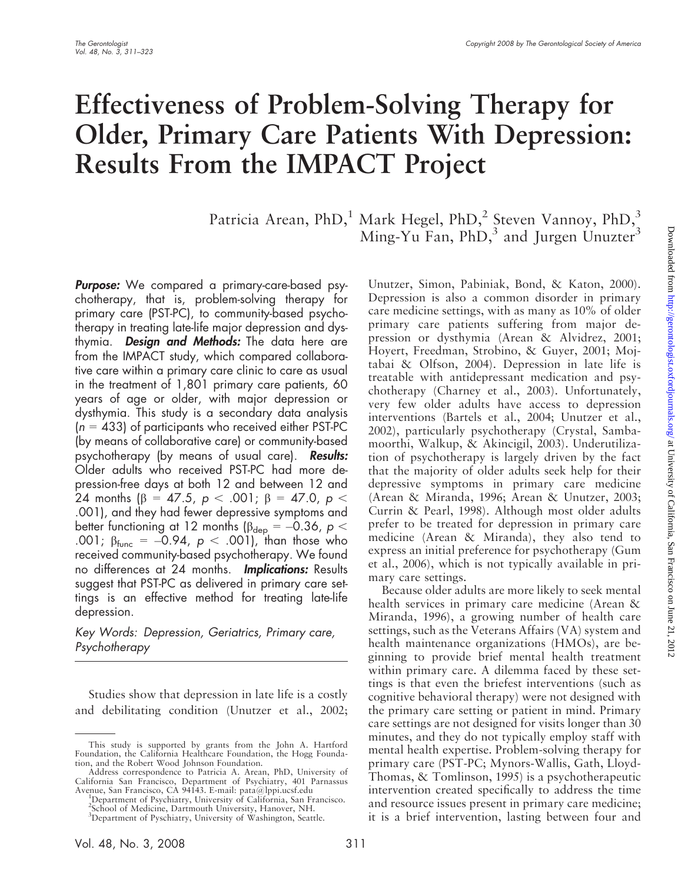# Effectiveness of Problem-Solving Therapy for Older, Primary Care Patients With Depression: Results From the IMPACT Project

Patricia Arean, PhD,<sup>1</sup> Mark Hegel, PhD,<sup>2</sup> Steven Vannoy, PhD,<sup>3</sup> Ming-Yu Fan,  $PhD<sub>3</sub><sup>3</sup>$  and Jurgen Unuzter<sup>3</sup>

Purpose: We compared a primary-care-based psychotherapy, that is, problem-solving therapy for primary care (PST-PC), to community-based psychotherapy in treating late-life major depression and dysthymia. Design and Methods: The data here are from the IMPACT study, which compared collaborative care within a primary care clinic to care as usual in the treatment of 1,801 primary care patients, 60 years of age or older, with major depression or dysthymia. This study is a secondary data analysis  $(n = 433)$  of participants who received either PST-PC (by means of collaborative care) or community-based psychotherapy (by means of usual care). **Results:** Older adults who received PST-PC had more depression-free days at both 12 and between 12 and 24 months ( $\beta = 47.5$ ,  $p < .001$ ;  $\beta = 47.0$ ,  $p <$ .001), and they had fewer depressive symptoms and better functioning at 12 months ( $\beta_{\sf dep}$  = –0.36,  $\rho <$ .001; β<sub>func</sub> = –0.94,  $p <$  .001), than those who received community-based psychotherapy. We found no differences at 24 months. **Implications:** Results suggest that PST-PC as delivered in primary care settings is an effective method for treating late-life depression.

Key Words: Depression, Geriatrics, Primary care, Psychotherapy

Studies show that depression in late life is a costly and debilitating condition (Unutzer et al., 2002; Unutzer, Simon, Pabiniak, Bond, & Katon, 2000). Depression is also a common disorder in primary care medicine settings, with as many as 10% of older primary care patients suffering from major depression or dysthymia (Arean & Alvidrez, 2001; Hoyert, Freedman, Strobino, & Guyer, 2001; Mojtabai & Olfson, 2004). Depression in late life is treatable with antidepressant medication and psychotherapy (Charney et al., 2003). Unfortunately, very few older adults have access to depression interventions (Bartels et al., 2004; Unutzer et al., 2002), particularly psychotherapy (Crystal, Sambamoorthi, Walkup, & Akincigil, 2003). Underutilization of psychotherapy is largely driven by the fact that the majority of older adults seek help for their depressive symptoms in primary care medicine (Arean & Miranda, 1996; Arean & Unutzer, 2003; Currin & Pearl, 1998). Although most older adults prefer to be treated for depression in primary care medicine (Arean & Miranda), they also tend to express an initial preference for psychotherapy (Gum et al., 2006), which is not typically available in primary care settings.

Because older adults are more likely to seek mental health services in primary care medicine (Arean & Miranda, 1996), a growing number of health care settings, such as the Veterans Affairs (VA) system and health maintenance organizations (HMOs), are beginning to provide brief mental health treatment within primary care. A dilemma faced by these settings is that even the briefest interventions (such as cognitive behavioral therapy) were not designed with the primary care setting or patient in mind. Primary care settings are not designed for visits longer than 30 minutes, and they do not typically employ staff with mental health expertise. Problem-solving therapy for primary care (PST-PC; Mynors-Wallis, Gath, Lloyd-Thomas, & Tomlinson, 1995) is a psychotherapeutic intervention created specifically to address the time and resource issues present in primary care medicine; it is a brief intervention, lasting between four and

This study is supported by grants from the John A. Hartford Foundation, the California Healthcare Foundation, the Hogg Founda-tion, and the Robert Wood Johnson Foundation.

Address correspondence to Patricia A. Arean, PhD, University of<br>California San Francisco, CA 94143. E-mail: pata@lppi.ucsf.edu<br>Avenue, San Francisco, CA 94143. E-mail: pata@lppi.ucsf.edu<br><sup>1</sup>Dostman of Patamics San Francisc

Department of Psychiatry, University of California, San Francisco. 2 School of Medicine, Dartmouth University, Hanover, NH.

<sup>3</sup> Department of Pyschiatry, University of Washington, Seattle.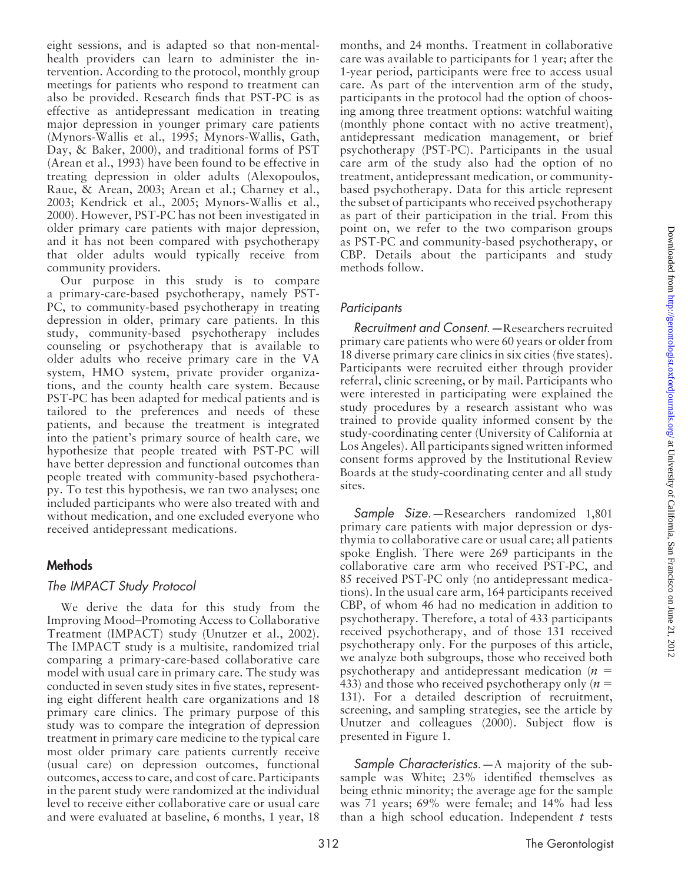eight sessions, and is adapted so that non-mentalhealth providers can learn to administer the intervention. According to the protocol, monthly group meetings for patients who respond to treatment can also be provided. Research finds that PST-PC is as effective as antidepressant medication in treating major depression in younger primary care patients (Mynors-Wallis et al., 1995; Mynors-Wallis, Gath, Day, & Baker, 2000), and traditional forms of PST (Arean et al., 1993) have been found to be effective in treating depression in older adults (Alexopoulos, Raue, & Arean, 2003; Arean et al.; Charney et al., 2003; Kendrick et al., 2005; Mynors-Wallis et al., 2000). However, PST-PC has not been investigated in older primary care patients with major depression, and it has not been compared with psychotherapy that older adults would typically receive from community providers.

Our purpose in this study is to compare a primary-care-based psychotherapy, namely PST-PC, to community-based psychotherapy in treating depression in older, primary care patients. In this study, community-based psychotherapy includes counseling or psychotherapy that is available to older adults who receive primary care in the VA system, HMO system, private provider organizations, and the county health care system. Because PST-PC has been adapted for medical patients and is tailored to the preferences and needs of these patients, and because the treatment is integrated into the patient's primary source of health care, we hypothesize that people treated with PST-PC will have better depression and functional outcomes than people treated with community-based psychotherapy. To test this hypothesis, we ran two analyses; one included participants who were also treated with and without medication, and one excluded everyone who received antidepressant medications.

## **Methods**

## The IMPACT Study Protocol

We derive the data for this study from the Improving Mood–Promoting Access to Collaborative Treatment (IMPACT) study (Unutzer et al., 2002). The IMPACT study is a multisite, randomized trial comparing a primary-care-based collaborative care model with usual care in primary care. The study was conducted in seven study sites in five states, representing eight different health care organizations and 18 primary care clinics. The primary purpose of this study was to compare the integration of depression treatment in primary care medicine to the typical care most older primary care patients currently receive (usual care) on depression outcomes, functional outcomes, access to care, and cost of care. Participants in the parent study were randomized at the individual level to receive either collaborative care or usual care and were evaluated at baseline, 6 months, 1 year, 18 months, and 24 months. Treatment in collaborative care was available to participants for 1 year; after the 1-year period, participants were free to access usual care. As part of the intervention arm of the study, participants in the protocol had the option of choosing among three treatment options: watchful waiting (monthly phone contact with no active treatment), antidepressant medication management, or brief psychotherapy (PST-PC). Participants in the usual care arm of the study also had the option of no treatment, antidepressant medication, or communitybased psychotherapy. Data for this article represent the subset of participants who received psychotherapy as part of their participation in the trial. From this point on, we refer to the two comparison groups as PST-PC and community-based psychotherapy, or CBP. Details about the participants and study methods follow.

## **Participants**

Recruitment and Consent.—Researchers recruited primary care patients who were 60 years or older from 18 diverse primary care clinics in six cities (five states). Participants were recruited either through provider referral, clinic screening, or by mail. Participants who were interested in participating were explained the study procedures by a research assistant who was trained to provide quality informed consent by the study-coordinating center (University of California at Los Angeles). All participants signed written informed consent forms approved by the Institutional Review Boards at the study-coordinating center and all study sites.

Sample Size.—Researchers randomized 1,801 primary care patients with major depression or dysthymia to collaborative care or usual care; all patients spoke English. There were 269 participants in the collaborative care arm who received PST-PC, and 85 received PST-PC only (no antidepressant medications). In the usual care arm, 164 participants received CBP, of whom 46 had no medication in addition to psychotherapy. Therefore, a total of 433 participants received psychotherapy, and of those 131 received psychotherapy only. For the purposes of this article, we analyze both subgroups, those who received both psychotherapy and antidepressant medication ( $n =$ 433) and those who received psychotherapy only  $(n=$ 131). For a detailed description of recruitment, screening, and sampling strategies, see the article by Unutzer and colleagues (2000). Subject flow is presented in Figure 1.

Sample Characteristics. — A majority of the subsample was White; 23% identified themselves as being ethnic minority; the average age for the sample was 71 years; 69% were female; and 14% had less than a high school education. Independent  $t$  tests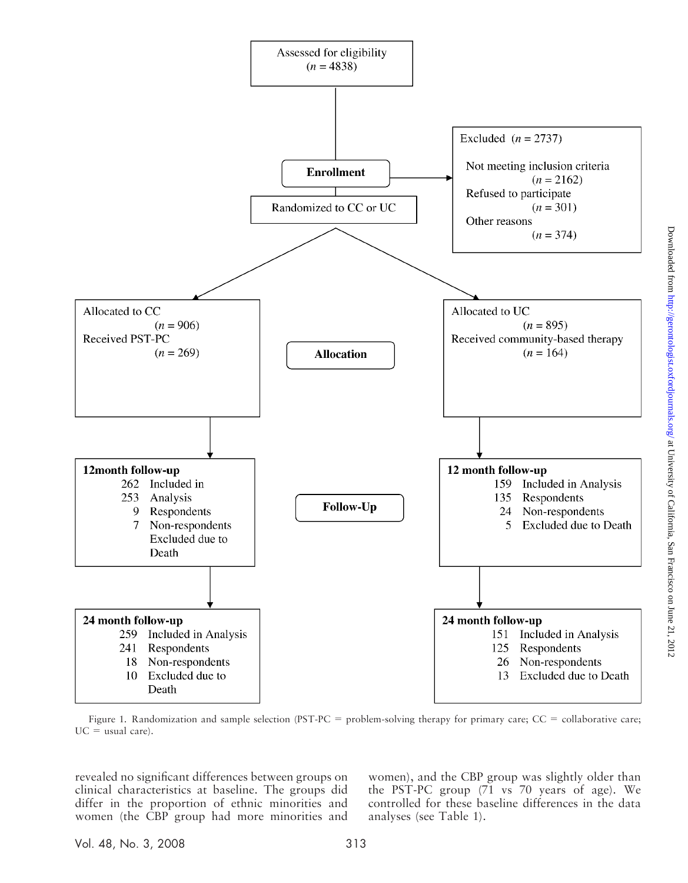

Figure 1. Randomization and sample selection (PST-PC = problem-solving therapy for primary care; CC = collaborative care;  $UC =$  usual care).

revealed no significant differences between groups on clinical characteristics at baseline. The groups did differ in the proportion of ethnic minorities and women (the CBP group had more minorities and

women), and the CBP group was slightly older than the PST-PC group (71 vs 70 years of age). We controlled for these baseline differences in the data analyses (see Table 1).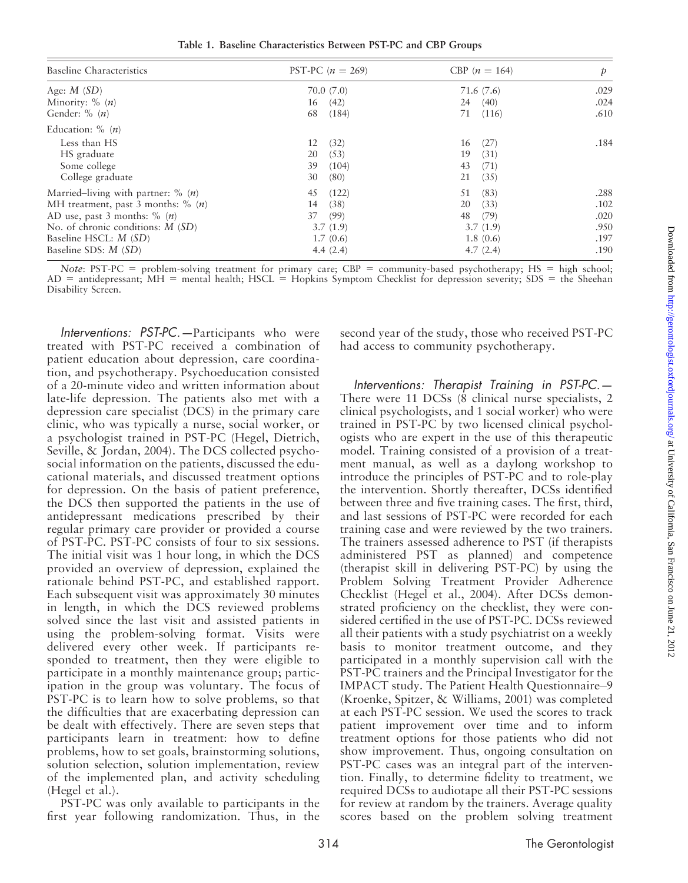Table 1. Baseline Characteristics Between PST-PC and CBP Groups

| Baseline Characteristics                       | PST-PC $(n = 269)$ | CBP $(n = 164)$ | p    |  |
|------------------------------------------------|--------------------|-----------------|------|--|
| Age: $M(SD)$                                   | 70.0(7.0)          | 71.6 (7.6)      | .029 |  |
| Minority: $\%$ ( <i>n</i> )                    | (42)<br>16         | 24<br>(40)      | .024 |  |
| Gender: $\%$ ( <i>n</i> )                      | 68<br>(184)        | (116)<br>71     | .610 |  |
| Education: $\%$ ( <i>n</i> )                   |                    |                 |      |  |
| Less than HS                                   | (32)<br>12         | (27)<br>16      | .184 |  |
| HS graduate                                    | 20<br>(53)         | (31)<br>19      |      |  |
| Some college                                   | 39<br>(104)        | 43<br>(71)      |      |  |
| College graduate                               | 30<br>(80)         | 21<br>(35)      |      |  |
| Married–living with partner: $\%$ ( <i>n</i> ) | (122)<br>45        | (83)<br>51      | .288 |  |
| MH treatment, past 3 months: $\%$ ( <i>n</i> ) | (38)<br>14         | 20<br>(33)      | .102 |  |
| AD use, past 3 months: $\%$ ( <i>n</i> )       | 37<br>(99)         | 48<br>(79)      | .020 |  |
| No. of chronic conditions: $M(SD)$             | 3.7(1.9)           | 3.7(1.9)        | .950 |  |
| Baseline HSCL: M (SD)                          | 1.7(0.6)           | 1.8(0.6)        | .197 |  |
| Baseline SDS: M (SD)                           | 4.4 $(2.4)$        | 4.7(2.4)        | .190 |  |

Note: PST-PC = problem-solving treatment for primary care; CBP = community-based psychotherapy; HS = high school;  $AD =$  antidepressant;  $MH =$  mental health; HSCL = Hopkins Symptom Checklist for depression severity; SDS = the Sheehan Disability Screen.

Interventions: PST-PC.—Participants who were treated with PST-PC received a combination of patient education about depression, care coordination, and psychotherapy. Psychoeducation consisted of a 20-minute video and written information about late-life depression. The patients also met with a depression care specialist (DCS) in the primary care clinic, who was typically a nurse, social worker, or a psychologist trained in PST-PC (Hegel, Dietrich, Seville, & Jordan, 2004). The DCS collected psychosocial information on the patients, discussed the educational materials, and discussed treatment options for depression. On the basis of patient preference, the DCS then supported the patients in the use of antidepressant medications prescribed by their regular primary care provider or provided a course of PST-PC. PST-PC consists of four to six sessions. The initial visit was 1 hour long, in which the DCS provided an overview of depression, explained the rationale behind PST-PC, and established rapport. Each subsequent visit was approximately 30 minutes in length, in which the DCS reviewed problems solved since the last visit and assisted patients in using the problem-solving format. Visits were delivered every other week. If participants responded to treatment, then they were eligible to participate in a monthly maintenance group; participation in the group was voluntary. The focus of PST-PC is to learn how to solve problems, so that the difficulties that are exacerbating depression can be dealt with effectively. There are seven steps that participants learn in treatment: how to define problems, how to set goals, brainstorming solutions, solution selection, solution implementation, review of the implemented plan, and activity scheduling (Hegel et al.).

PST-PC was only available to participants in the first year following randomization. Thus, in the second year of the study, those who received PST-PC had access to community psychotherapy.

Interventions: Therapist Training in PST-PC.— There were 11 DCSs (8 clinical nurse specialists, 2 clinical psychologists, and 1 social worker) who were trained in PST-PC by two licensed clinical psychologists who are expert in the use of this therapeutic model. Training consisted of a provision of a treatment manual, as well as a daylong workshop to introduce the principles of PST-PC and to role-play the intervention. Shortly thereafter, DCSs identified between three and five training cases. The first, third, and last sessions of PST-PC were recorded for each training case and were reviewed by the two trainers. The trainers assessed adherence to PST (if therapists administered PST as planned) and competence (therapist skill in delivering PST-PC) by using the Problem Solving Treatment Provider Adherence Checklist (Hegel et al., 2004). After DCSs demonstrated proficiency on the checklist, they were considered certified in the use of PST-PC. DCSs reviewed all their patients with a study psychiatrist on a weekly basis to monitor treatment outcome, and they participated in a monthly supervision call with the PST-PC trainers and the Principal Investigator for the IMPACT study. The Patient Health Questionnaire-9 (Kroenke, Spitzer, & Williams, 2001) was completed at each PST-PC session. We used the scores to track patient improvement over time and to inform treatment options for those patients who did not show improvement. Thus, ongoing consultation on PST-PC cases was an integral part of the intervention. Finally, to determine fidelity to treatment, we required DCSs to audiotape all their PST-PC sessions for review at random by the trainers. Average quality scores based on the problem solving treatment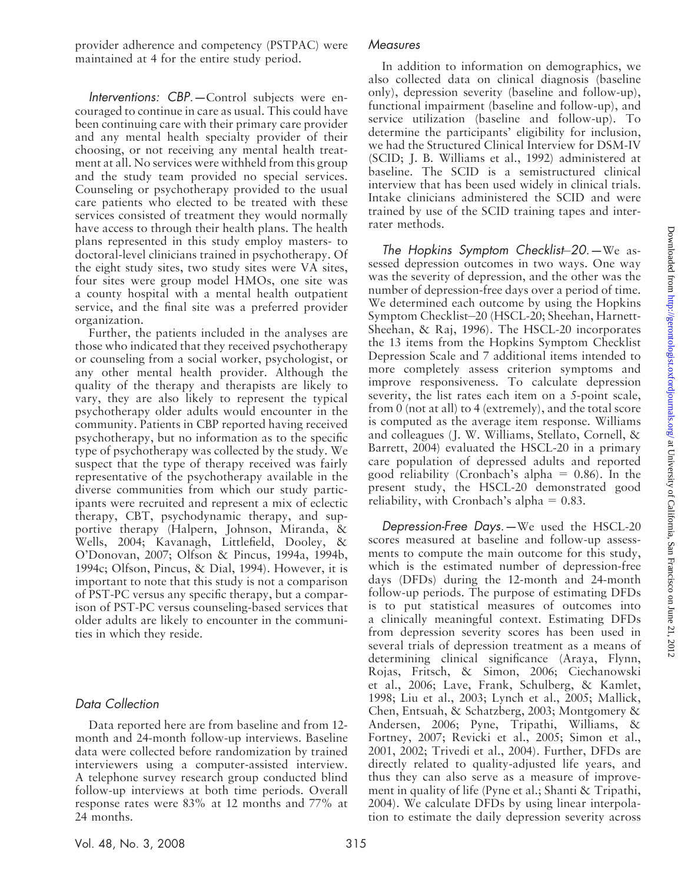provider adherence and competency (PSTPAC) were maintained at 4 for the entire study period.

Interventions: CBP.-Control subjects were encouraged to continue in care as usual. This could have been continuing care with their primary care provider and any mental health specialty provider of their choosing, or not receiving any mental health treatment at all. No services were withheld from this group and the study team provided no special services. Counseling or psychotherapy provided to the usual care patients who elected to be treated with these services consisted of treatment they would normally have access to through their health plans. The health plans represented in this study employ masters- to doctoral-level clinicians trained in psychotherapy. Of the eight study sites, two study sites were VA sites, four sites were group model HMOs, one site was a county hospital with a mental health outpatient service, and the final site was a preferred provider organization.

Further, the patients included in the analyses are those who indicated that they received psychotherapy or counseling from a social worker, psychologist, or any other mental health provider. Although the quality of the therapy and therapists are likely to vary, they are also likely to represent the typical psychotherapy older adults would encounter in the community. Patients in CBP reported having received psychotherapy, but no information as to the specific type of psychotherapy was collected by the study. We suspect that the type of therapy received was fairly representative of the psychotherapy available in the diverse communities from which our study participants were recruited and represent a mix of eclectic therapy, CBT, psychodynamic therapy, and supportive therapy (Halpern, Johnson, Miranda, & Wells, 2004; Kavanagh, Littlefield, Dooley, & O'Donovan, 2007; Olfson & Pincus, 1994a, 1994b, 1994c; Olfson, Pincus, & Dial, 1994). However, it is important to note that this study is not a comparison of PST-PC versus any specific therapy, but a comparison of PST-PC versus counseling-based services that older adults are likely to encounter in the communities in which they reside.

## Data Collection

Data reported here are from baseline and from 12 month and 24-month follow-up interviews. Baseline data were collected before randomization by trained interviewers using a computer-assisted interview. A telephone survey research group conducted blind follow-up interviews at both time periods. Overall response rates were 83% at 12 months and 77% at 24 months.

### **Measures**

In addition to information on demographics, we also collected data on clinical diagnosis (baseline only), depression severity (baseline and follow-up), functional impairment (baseline and follow-up), and service utilization (baseline and follow-up). To determine the participants' eligibility for inclusion, we had the Structured Clinical Interview for DSM-IV (SCID; J. B. Williams et al., 1992) administered at baseline. The SCID is a semistructured clinical interview that has been used widely in clinical trials. Intake clinicians administered the SCID and were trained by use of the SCID training tapes and interrater methods.

The Hopkins Symptom Checklist-20.—We assessed depression outcomes in two ways. One way was the severity of depression, and the other was the number of depression-free days over a period of time. We determined each outcome by using the Hopkins Symptom Checklist-20 (HSCL-20; Sheehan, Harnett-Sheehan, & Raj, 1996). The HSCL-20 incorporates the 13 items from the Hopkins Symptom Checklist Depression Scale and 7 additional items intended to more completely assess criterion symptoms and improve responsiveness. To calculate depression severity, the list rates each item on a 5-point scale, from 0 (not at all) to 4 (extremely), and the total score is computed as the average item response. Williams and colleagues (J. W. Williams, Stellato, Cornell, & Barrett, 2004) evaluated the HSCL-20 in a primary care population of depressed adults and reported good reliability (Cronbach's alpha  $= 0.86$ ). In the present study, the HSCL-20 demonstrated good reliability, with Cronbach's alpha  $= 0.83$ .

Depression-Free Days.—We used the HSCL-20 scores measured at baseline and follow-up assessments to compute the main outcome for this study, which is the estimated number of depression-free days (DFDs) during the 12-month and 24-month follow-up periods. The purpose of estimating DFDs is to put statistical measures of outcomes into a clinically meaningful context. Estimating DFDs from depression severity scores has been used in several trials of depression treatment as a means of determining clinical significance (Araya, Flynn, Rojas, Fritsch, & Simon, 2006; Ciechanowski et al., 2006; Lave, Frank, Schulberg, & Kamlet, 1998; Liu et al., 2003; Lynch et al., 2005; Mallick, Chen, Entsuah, & Schatzberg, 2003; Montgomery & Andersen, 2006; Pyne, Tripathi, Williams, & Fortney, 2007; Revicki et al., 2005; Simon et al., 2001, 2002; Trivedi et al., 2004). Further, DFDs are directly related to quality-adjusted life years, and thus they can also serve as a measure of improvement in quality of life (Pyne et al.; Shanti & Tripathi, 2004). We calculate DFDs by using linear interpolation to estimate the daily depression severity across

Vol. 48, No. 3, 2008 315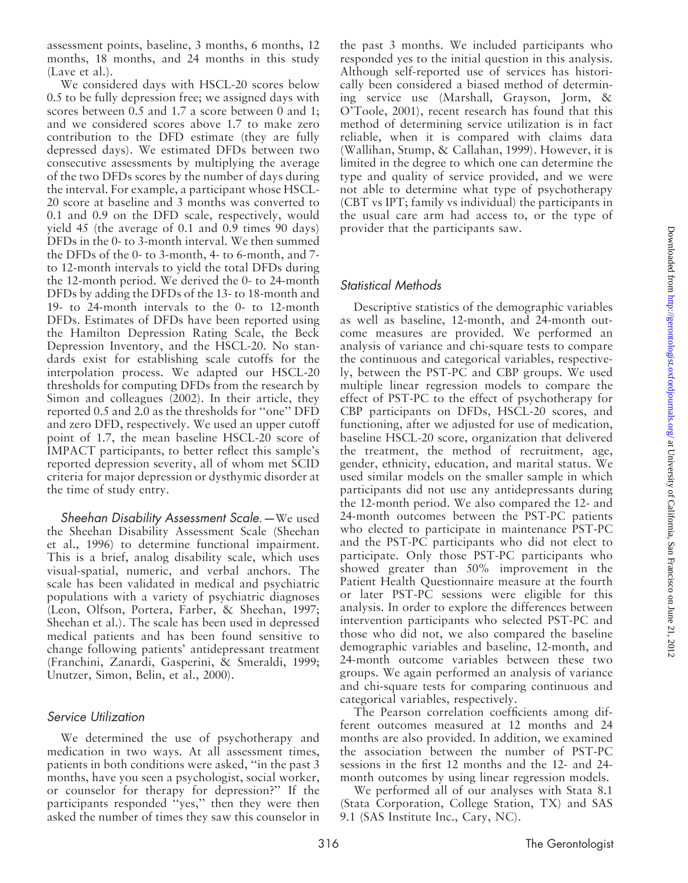assessment points, baseline, 3 months, 6 months, 12 months, 18 months, and 24 months in this study (Lave et al.).

We considered days with HSCL-20 scores below 0.5 to be fully depression free; we assigned days with scores between 0.5 and 1.7 a score between 0 and 1; and we considered scores above 1.7 to make zero contribution to the DFD estimate (they are fully depressed days). We estimated DFDs between two consecutive assessments by multiplying the average of the two DFDs scores by the number of days during the interval. For example, a participant whose HSCL-20 score at baseline and 3 months was converted to 0.1 and 0.9 on the DFD scale, respectively, would yield 45 (the average of 0.1 and 0.9 times 90 days) DFDs in the 0- to 3-month interval. We then summed the DFDs of the 0- to 3-month, 4- to 6-month, and 7 to 12-month intervals to yield the total DFDs during the 12-month period. We derived the 0- to 24-month DFDs by adding the DFDs of the 13- to 18-month and 19- to 24-month intervals to the 0- to 12-month DFDs. Estimates of DFDs have been reported using the Hamilton Depression Rating Scale, the Beck Depression Inventory, and the HSCL-20. No standards exist for establishing scale cutoffs for the interpolation process. We adapted our HSCL-20 thresholds for computing DFDs from the research by Simon and colleagues (2002). In their article, they reported 0.5 and 2.0 as the thresholds for ''one'' DFD and zero DFD, respectively. We used an upper cutoff point of 1.7, the mean baseline HSCL-20 score of IMPACT participants, to better reflect this sample's reported depression severity, all of whom met SCID criteria for major depression or dysthymic disorder at the time of study entry.

Sheehan Disability Assessment Scale.—We used the Sheehan Disability Assessment Scale (Sheehan et al., 1996) to determine functional impairment. This is a brief, analog disability scale, which uses visual-spatial, numeric, and verbal anchors. The scale has been validated in medical and psychiatric populations with a variety of psychiatric diagnoses (Leon, Olfson, Portera, Farber, & Sheehan, 1997; Sheehan et al.). The scale has been used in depressed medical patients and has been found sensitive to change following patients' antidepressant treatment (Franchini, Zanardi, Gasperini, & Smeraldi, 1999; Unutzer, Simon, Belin, et al., 2000).

#### Service Utilization

We determined the use of psychotherapy and medication in two ways. At all assessment times, patients in both conditions were asked, ''in the past 3 months, have you seen a psychologist, social worker, or counselor for therapy for depression?'' If the participants responded ''yes,'' then they were then asked the number of times they saw this counselor in the past 3 months. We included participants who responded yes to the initial question in this analysis. Although self-reported use of services has historically been considered a biased method of determining service use (Marshall, Grayson, Jorm, & O'Toole, 2001), recent research has found that this method of determining service utilization is in fact reliable, when it is compared with claims data (Wallihan, Stump, & Callahan, 1999). However, it is limited in the degree to which one can determine the type and quality of service provided, and we were not able to determine what type of psychotherapy (CBT vs IPT; family vs individual) the participants in the usual care arm had access to, or the type of provider that the participants saw.

### Statistical Methods

Descriptive statistics of the demographic variables as well as baseline, 12-month, and 24-month outcome measures are provided. We performed an analysis of variance and chi-square tests to compare the continuous and categorical variables, respectively, between the PST-PC and CBP groups. We used multiple linear regression models to compare the effect of PST-PC to the effect of psychotherapy for CBP participants on DFDs, HSCL-20 scores, and functioning, after we adjusted for use of medication, baseline HSCL-20 score, organization that delivered the treatment, the method of recruitment, age, gender, ethnicity, education, and marital status. We used similar models on the smaller sample in which participants did not use any antidepressants during the 12-month period. We also compared the 12- and 24-month outcomes between the PST-PC patients who elected to participate in maintenance PST-PC and the PST-PC participants who did not elect to participate. Only those PST-PC participants who showed greater than 50% improvement in the Patient Health Questionnaire measure at the fourth or later PST-PC sessions were eligible for this analysis. In order to explore the differences between intervention participants who selected PST-PC and those who did not, we also compared the baseline demographic variables and baseline, 12-month, and 24-month outcome variables between these two groups. We again performed an analysis of variance and chi-square tests for comparing continuous and categorical variables, respectively.

The Pearson correlation coefficients among different outcomes measured at 12 months and 24 months are also provided. In addition, we examined the association between the number of PST-PC sessions in the first 12 months and the 12- and 24 month outcomes by using linear regression models.

We performed all of our analyses with Stata 8.1 (Stata Corporation, College Station, TX) and SAS 9.1 (SAS Institute Inc., Cary, NC).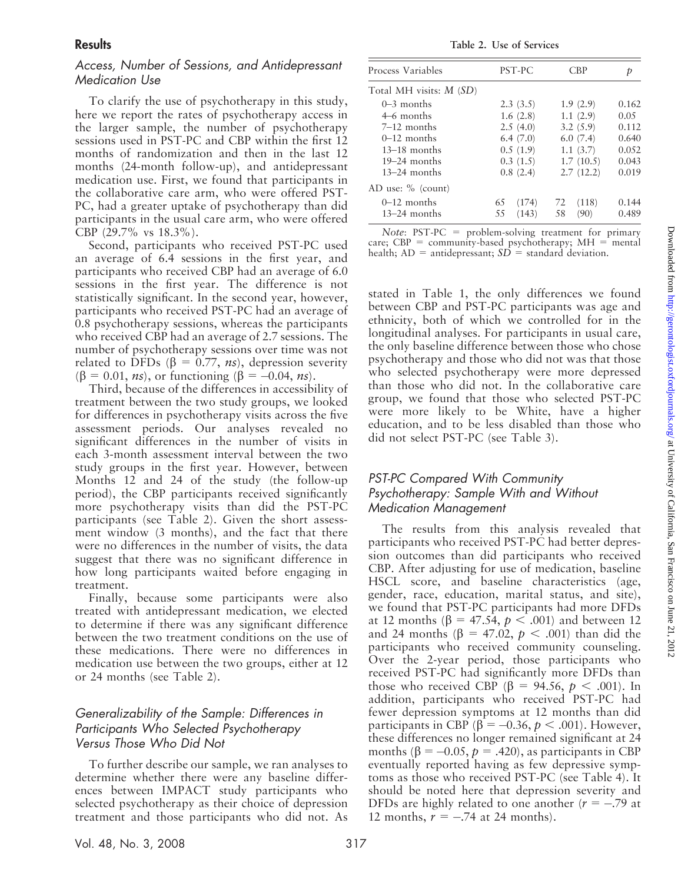## **Results**

## Access, Number of Sessions, and Antidepressant Medication Use

To clarify the use of psychotherapy in this study, here we report the rates of psychotherapy access in the larger sample, the number of psychotherapy sessions used in PST-PC and CBP within the first 12 months of randomization and then in the last 12 months (24-month follow-up), and antidepressant medication use. First, we found that participants in the collaborative care arm, who were offered PST-PC, had a greater uptake of psychotherapy than did participants in the usual care arm, who were offered CBP (29.7% vs 18.3%).

Second, participants who received PST-PC used an average of 6.4 sessions in the first year, and participants who received CBP had an average of 6.0 sessions in the first year. The difference is not statistically significant. In the second year, however, participants who received PST-PC had an average of 0.8 psychotherapy sessions, whereas the participants who received CBP had an average of 2.7 sessions. The number of psychotherapy sessions over time was not related to DFDs ( $\beta = 0.77$ , *ns*), depression severity  $(\beta = 0.01, ns)$ , or functioning  $(\beta = -0.04, ns)$ .

Third, because of the differences in accessibility of treatment between the two study groups, we looked for differences in psychotherapy visits across the five assessment periods. Our analyses revealed no significant differences in the number of visits in each 3-month assessment interval between the two study groups in the first year. However, between Months 12 and 24 of the study (the follow-up period), the CBP participants received significantly more psychotherapy visits than did the PST-PC participants (see Table 2). Given the short assessment window (3 months), and the fact that there were no differences in the number of visits, the data suggest that there was no significant difference in how long participants waited before engaging in treatment.

Finally, because some participants were also treated with antidepressant medication, we elected to determine if there was any significant difference between the two treatment conditions on the use of these medications. There were no differences in medication use between the two groups, either at 12 or 24 months (see Table 2).

# Generalizability of the Sample: Differences in Participants Who Selected Psychotherapy Versus Those Who Did Not

To further describe our sample, we ran analyses to determine whether there were any baseline differences between IMPACT study participants who selected psychotherapy as their choice of depression treatment and those participants who did not. As

Table 2. Use of Services

| Process Variables       | PST-PC      | CBP         |       |
|-------------------------|-------------|-------------|-------|
| Total MH visits: M (SD) |             |             |       |
| $0-3$ months            | 2.3(3.5)    | 1.9(2.9)    | 0.162 |
| 4–6 months              | 1.6(2.8)    | 1.1(2.9)    | 0.05  |
| $7-12$ months           | 2.5(4.0)    | 3.2(5.9)    | 0.112 |
| $0-12$ months           | 6.4(7.0)    | 6.0(7.4)    | 0.640 |
| $13-18$ months          | 0.5(1.9)    | 1.1(3.7)    | 0.052 |
| $19-24$ months          | 0.3(1.5)    | 1.7(10.5)   | 0.043 |
| $13-24$ months          | 0.8(2.4)    | 2.7(12.2)   | 0.019 |
| AD use: $\%$ (count)    |             |             |       |
| $0-12$ months           | (174)<br>65 | (118)<br>72 | 0.144 |
| $13-24$ months          | (143)<br>55 | (90)<br>58  | 0.489 |

Note: PST-PC = problem-solving treatment for primary care;  $CBP = \text{community-based psychology; } MH = \text{mental}$ health; AD = antidepressant;  $SD$  = standard deviation.

stated in Table 1, the only differences we found between CBP and PST-PC participants was age and ethnicity, both of which we controlled for in the longitudinal analyses. For participants in usual care, the only baseline difference between those who chose psychotherapy and those who did not was that those who selected psychotherapy were more depressed than those who did not. In the collaborative care group, we found that those who selected PST-PC were more likely to be White, have a higher education, and to be less disabled than those who did not select PST-PC (see Table 3).

# PST-PC Compared With Community Psychotherapy: Sample With and Without Medication Management

The results from this analysis revealed that participants who received PST-PC had better depression outcomes than did participants who received CBP. After adjusting for use of medication, baseline HSCL score, and baseline characteristics (age, gender, race, education, marital status, and site), we found that PST-PC participants had more DFDs at 12 months ( $\beta$  = 47.54,  $p < .001$ ) and between 12 and 24 months ( $\beta = 47.02$ ,  $p < .001$ ) than did the participants who received community counseling. Over the 2-year period, those participants who received PST-PC had significantly more DFDs than those who received CBP ( $\beta$  = 94.56,  $p$  < .001). In addition, participants who received PST-PC had fewer depression symptoms at 12 months than did participants in CBP ( $\beta = -0.36$ ,  $p < .001$ ). However, these differences no longer remained significant at 24 months ( $\beta = -0.05$ ,  $p = .420$ ), as participants in CBP eventually reported having as few depressive symptoms as those who received PST-PC (see Table 4). It should be noted here that depression severity and DFDs are highly related to one another ( $r = -.79$  at 12 months,  $r = -.74$  at 24 months).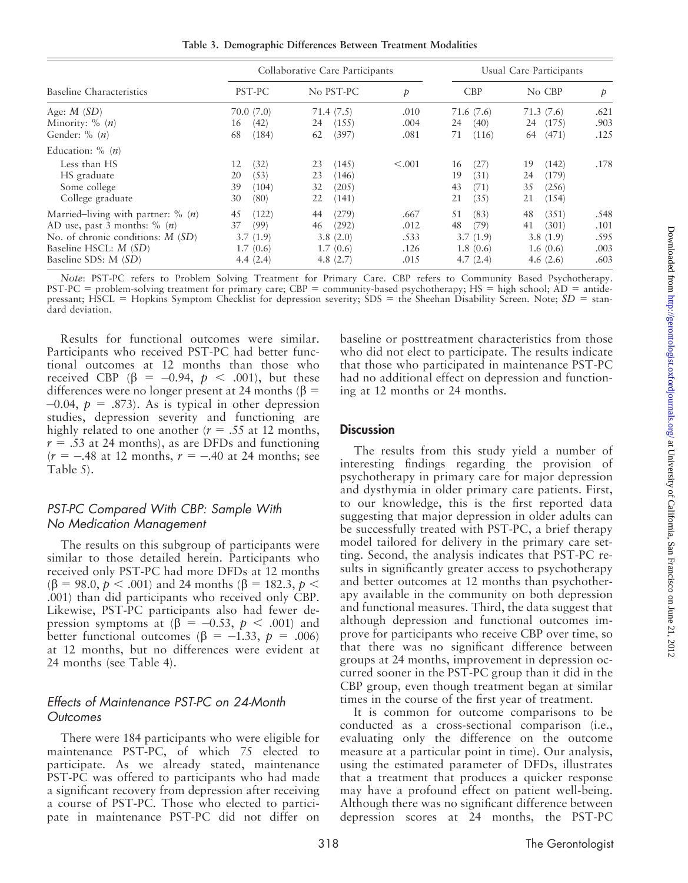Table 3. Demographic Differences Between Treatment Modalities

|                                                                                                                                                                                   |                                                                  | Collaborative Care Participants                                   | Usual Care Participants              |                                                              |                                                                   |                                      |  |
|-----------------------------------------------------------------------------------------------------------------------------------------------------------------------------------|------------------------------------------------------------------|-------------------------------------------------------------------|--------------------------------------|--------------------------------------------------------------|-------------------------------------------------------------------|--------------------------------------|--|
| Baseline Characteristics                                                                                                                                                          | PST-PC                                                           | No PST-PC                                                         | p                                    | CBP                                                          | No CBP                                                            | p                                    |  |
| Age: $M(SD)$<br>Minority: $\%$ ( <i>n</i> )<br>Gender: $\%$ $(n)$                                                                                                                 | 70.0(7.0)<br>(42)<br>16<br>(184)<br>68                           | 71.4(7.5)<br>(155)<br>24<br>(397)<br>62                           | .010<br>.004<br>.081                 | 71.6 (7.6)<br>(40)<br>24<br>(116)<br>71                      | 71.3(7.6)<br>(175)<br>24<br>(471)<br>64                           | .621<br>.903<br>.125                 |  |
| Education: $\%$ ( <i>n</i> )<br>Less than HS<br>HS graduate<br>Some college<br>College graduate                                                                                   | (32)<br>12<br>(53)<br>20<br>39<br>(104)<br>30<br>(80)            | 23<br>(145)<br>23<br>(146)<br>(205)<br>32<br>22<br>(141)          | < 0.001                              | (27)<br>16<br>19<br>(31)<br>43<br>(71)<br>21<br>(35)         | 19<br>(142)<br>(179)<br>24<br>35<br>(256)<br>21<br>(154)          | .178                                 |  |
| Married-living with partner: $\%$ ( <i>n</i> )<br>AD use, past 3 months: $\%$ ( <i>n</i> )<br>No. of chronic conditions: $M(SD)$<br>Baseline HSCL: M (SD)<br>Baseline SDS: M (SD) | (122)<br>45<br>37<br>(99)<br>3.7(1.9)<br>1.7(0.6)<br>4.4 $(2.4)$ | (279)<br>44<br>(292)<br>46<br>3.8(2.0)<br>1.7(0.6)<br>4.8 $(2.7)$ | .667<br>.012<br>.533<br>.126<br>.015 | (83)<br>51<br>(79)<br>48<br>3.7(1.9)<br>1.8(0.6)<br>4.7(2.4) | 48<br>(351)<br>41<br>(301)<br>3.8(1.9)<br>1.6(0.6)<br>4.6 $(2.6)$ | .548<br>.101<br>.595<br>.003<br>.603 |  |

Note: PST-PC refers to Problem Solving Treatment for Primary Care. CBP refers to Community Based Psychotherapy. PST-PC = problem-solving treatment for primary care; CBP = community-based psychotherapy; HS = high school; AD = antidepressant; HSCL = Hopkins Symptom Checklist for depression severity; SDS = the Sheehan Disability Screen. Note; SD = standard deviation.

Results for functional outcomes were similar. Participants who received PST-PC had better functional outcomes at 12 months than those who received CBP ( $\beta$  = -0.94,  $p$  < .001), but these differences were no longer present at 24 months ( $\beta$  =  $-0.04$ ,  $p = .873$ ). As is typical in other depression studies, depression severity and functioning are highly related to one another ( $r = .55$  at 12 months,  $r = .53$  at 24 months), as are DFDs and functioning  $(r = -.48$  at 12 months,  $r = -.40$  at 24 months; see Table 5).

# PST-PC Compared With CBP: Sample With No Medication Management

The results on this subgroup of participants were similar to those detailed herein. Participants who received only PST-PC had more DFDs at 12 months  $(\beta = 98.0, p < .001)$  and 24 months ( $\beta = 182.3, p <$ .001) than did participants who received only CBP. Likewise, PST-PC participants also had fewer depression symptoms at  $(\beta = -0.53, p < .001)$  and better functional outcomes ( $\beta = -1.33, p = .006$ ) at 12 months, but no differences were evident at 24 months (see Table 4).

# Effects of Maintenance PST-PC on 24-Month **Outcomes**

There were 184 participants who were eligible for maintenance PST-PC, of which 75 elected to participate. As we already stated, maintenance PST-PC was offered to participants who had made a significant recovery from depression after receiving a course of PST-PC. Those who elected to participate in maintenance PST-PC did not differ on baseline or posttreatment characteristics from those who did not elect to participate. The results indicate that those who participated in maintenance PST-PC had no additional effect on depression and functioning at 12 months or 24 months.

## **Discussion**

The results from this study yield a number of interesting findings regarding the provision of psychotherapy in primary care for major depression and dysthymia in older primary care patients. First, to our knowledge, this is the first reported data suggesting that major depression in older adults can be successfully treated with PST-PC, a brief therapy model tailored for delivery in the primary care setting. Second, the analysis indicates that PST-PC results in significantly greater access to psychotherapy and better outcomes at 12 months than psychotherapy available in the community on both depression and functional measures. Third, the data suggest that although depression and functional outcomes improve for participants who receive CBP over time, so that there was no significant difference between groups at 24 months, improvement in depression occurred sooner in the PST-PC group than it did in the CBP group, even though treatment began at similar times in the course of the first year of treatment.

It is common for outcome comparisons to be conducted as a cross-sectional comparison (i.e., evaluating only the difference on the outcome measure at a particular point in time). Our analysis, using the estimated parameter of DFDs, illustrates that a treatment that produces a quicker response may have a profound effect on patient well-being. Although there was no significant difference between depression scores at 24 months, the PST-PC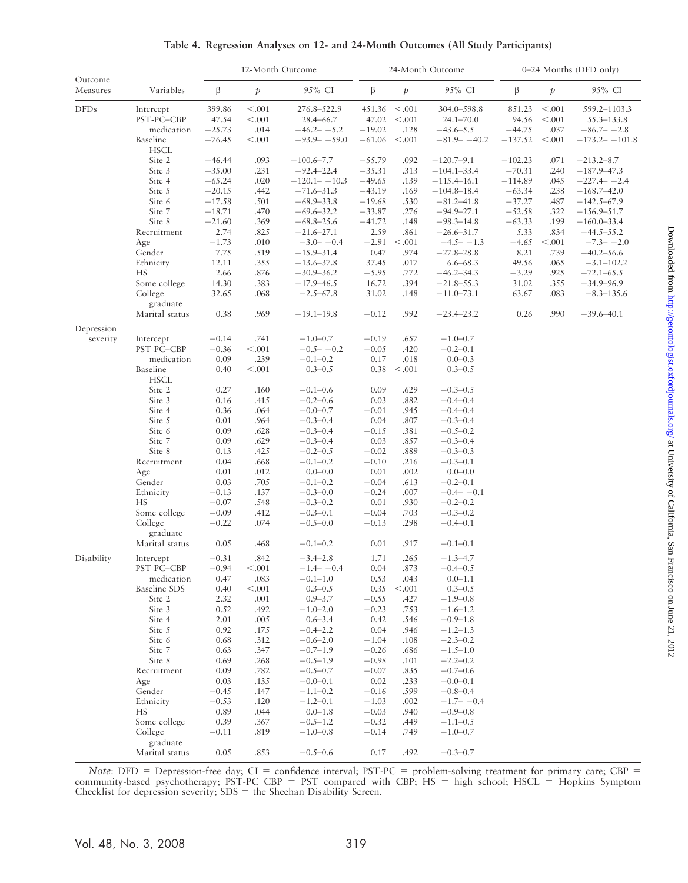|  | Table 4. Regression Analyses on 12- and 24-Month Outcomes (All Study Participants) |  |  |  |  |  |
|--|------------------------------------------------------------------------------------|--|--|--|--|--|
|  |                                                                                    |  |  |  |  |  |

|                     |                       | 12-Month Outcome |                  |                  |          |               | 24-Month Outcome | 0-24 Months (DFD only) |                  |                   |
|---------------------|-----------------------|------------------|------------------|------------------|----------|---------------|------------------|------------------------|------------------|-------------------|
| Outcome<br>Measures | Variables             | β                | $\boldsymbol{p}$ | 95% CI           | β        | $\mathcal{P}$ | 95% CI           | β                      | $\boldsymbol{p}$ | 95% CI            |
| <b>DFDs</b>         | Intercept             | 399.86           | < .001           | 276.8-522.9      | 451.36   | < .001        | 304.0-598.8      | 851.23                 | < .001           | 599.2-1103.3      |
|                     | PST-PC-CBP            | 47.54            | < .001           | $28.4 - 66.7$    | 47.02    | < .001        | $24.1 - 70.0$    | 94.56                  | < .001           | 55.3-133.8        |
|                     | medication            | $-25.73$         | .014             | $-46.2 - -5.2$   | $-19.02$ | .128          | $-43.6 - 5.5$    | $-44.75$               | .037             | $-86.7- -2.8$     |
|                     | Baseline              | $-76.45$         | < .001           | $-93.9 - -59.0$  | $-61.06$ | < .001        | $-81.9 - -40.2$  | $-137.52$              | < .001           | $-173.2 - -101.8$ |
|                     | <b>HSCL</b><br>Site 2 | $-46.44$         | .093             | $-100.6 - 7.7$   | $-55.79$ | .092          | $-120.7-9.1$     | $-102.23$              | .071             | $-213.2 - 8.7$    |
|                     | Site 3                | $-35.00$         | .231             | $-92.4 - 22.4$   | $-35.31$ | .313          | $-104.1 - 33.4$  | $-70.31$               | .240             | $-187.9 - 47.3$   |
|                     | Site 4                | $-65.24$         | .020             | $-120.1 - -10.3$ | $-49.65$ | .139          | $-115.4 - 16.1$  | $-114.89$              | .045             | $-227.4 - 2.4$    |
|                     | Site 5                | $-20.15$         | .442             | $-71.6 - 31.3$   | $-43.19$ | .169          | $-104.8 - 18.4$  | $-63.34$               | .238             | $-168.7 - 42.0$   |
|                     | Site 6                | $-17.58$         | .501             | $-68.9 - 33.8$   | $-19.68$ | .530          | $-81.2 - 41.8$   | $-37.27$               | .487             | $-142.5 - 67.9$   |
|                     | Site 7                | $-18.71$         | .470             | $-69.6 - 32.2$   | $-33.87$ | .276          | $-94.9 - 27.1$   | $-52.58$               | .322             | $-156.9 - 51.7$   |
|                     | Site 8                | $-21.60$         | .369             | $-68.8 - 25.6$   | $-41.72$ | .148          | $-98.3 - 14.8$   | $-63.33$               | .199             | $-160.0 - 33.4$   |
|                     | Recruitment           | 2.74             | .825             | $-21.6 - 27.1$   | 2.59     | .861          | $-26.6 - 31.7$   | 5.33                   | .834             | $-44.5 - 55.2$    |
|                     | Age                   | $-1.73$          | .010             | $-3.0 -0.4$      | $-2.91$  | < .001        | $-4.5 -1.3$      | $-4.65$                | < .001           | $-7.3 - -2.0$     |
|                     | Gender                | 7.75             | .519             | $-15.9 - 31.4$   | 0.47     | .974          | $-27.8 - 28.8$   | 8.21                   | .739             | $-40.2 - 56.6$    |
|                     | Ethnicity             | 12.11            | .355             | $-13.6 - 37.8$   | 37.45    | .017          | $6.6 - 68.3$     | 49.56                  | .065             | $-3.1 - 102.2$    |
|                     | HS                    | 2.66             | .876             | $-30.9 - 36.2$   | $-5.95$  | .772          | $-46.2 - 34.3$   | $-3.29$                | .925             | $-72.1 - 65.5$    |
|                     | Some college          | 14.30            | .383             | $-17.9 - 46.5$   | 16.72    | .394          | $-21.8 - 55.3$   | 31.02                  | .355             | $-34.9 - 96.9$    |
|                     | College               | 32.65            | .068             | $-2.5 - 67.8$    | 31.02    | .148          | $-11.0 - 73.1$   | 63.67                  | .083             | $-8.3 - 135.6$    |
|                     | graduate              |                  |                  |                  |          |               |                  |                        |                  |                   |
|                     | Marital status        | 0.38             | .969             | $-19.1 - 19.8$   | $-0.12$  | .992          | $-23.4-23.2$     | 0.26                   | .990             | $-39.6 - 40.1$    |
| Depression          |                       |                  |                  |                  |          |               |                  |                        |                  |                   |
| severity            | Intercept             | $-0.14$          | .741             | $-1.0 - 0.7$     | $-0.19$  | .657          | $-1.0 - 0.7$     |                        |                  |                   |
|                     | PST-PC-CBP            | $-0.36$          | < .001           | $-0.5 -0.2$      | $-0.05$  | .420          | $-0.2 - 0.1$     |                        |                  |                   |
|                     | medication            | 0.09             | .239             | $-0.1 - 0.2$     | 0.17     | .018          | $0.0 - 0.3$      |                        |                  |                   |
|                     | Baseline              | 0.40             | < .001           | $0.3 - 0.5$      | 0.38     | < .001        | $0.3 - 0.5$      |                        |                  |                   |
|                     | <b>HSCL</b>           |                  |                  |                  |          |               |                  |                        |                  |                   |
|                     | Site 2                | 0.27             | .160             | $-0.1 - 0.6$     | 0.09     | .629          | $-0.3 - 0.5$     |                        |                  |                   |
|                     | Site 3                | 0.16             | .415             | $-0.2 - 0.6$     | 0.03     | .882          | $-0.4 - 0.4$     |                        |                  |                   |
|                     | Site 4                | 0.36             | .064             | $-0.0 - 0.7$     | $-0.01$  | .945          | $-0.4 - 0.4$     |                        |                  |                   |
|                     | Site 5                | 0.01             | .964             | $-0.3 - 0.4$     | 0.04     | .807          | $-0.3 - 0.4$     |                        |                  |                   |
|                     | Site 6                | 0.09             | .628             | $-0.3 - 0.4$     | $-0.15$  | .381          | $-0.5 - 0.2$     |                        |                  |                   |
|                     | Site 7                | 0.09             | .629             | $-0.3 - 0.4$     | 0.03     | .857          | $-0.3 - 0.4$     |                        |                  |                   |
|                     | Site 8                | 0.13             | .425             | $-0.2 - 0.5$     | $-0.02$  | .889          | $-0.3 - 0.3$     |                        |                  |                   |
|                     | Recruitment           | 0.04             | .668             | $-0.1 - 0.2$     | $-0.10$  | .216          | $-0.3 - 0.1$     |                        |                  |                   |
|                     | Age                   | 0.01             | .012             | $0.0 - 0.0$      | 0.01     | .002          | $0.0 - 0.0$      |                        |                  |                   |
|                     | Gender                | 0.03             | .705             | $-0.1 - 0.2$     | $-0.04$  | .613          | $-0.2 - 0.1$     |                        |                  |                   |
|                     | Ethnicity             | $-0.13$          | .137             | $-0.3 - 0.0$     | $-0.24$  | .007          | $-0.4 -0.1$      |                        |                  |                   |
|                     | HS                    | $-0.07$          | .548             | $-0.3 - 0.2$     | 0.01     | .930          | $-0.2 - 0.2$     |                        |                  |                   |
|                     | Some college          | $-0.09$          | .412             | $-0.3 - 0.1$     | $-0.04$  | .703          | $-0.3 - 0.2$     |                        |                  |                   |
|                     | College               | $-0.22$          | .074             | $-0.5 - 0.0$     | $-0.13$  | .298          | $-0.4 - 0.1$     |                        |                  |                   |
|                     | graduate              |                  |                  |                  |          |               |                  |                        |                  |                   |
|                     | Marital status        | 0.05             | .468             | $-0.1 - 0.2$     | 0.01     | .917          | $-0.1 - 0.1$     |                        |                  |                   |
| Disability          | Intercept             | $-0.31$          | .842             | $-3.4 - 2.8$     | 1.71     | .265          | $-1.3 - 4.7$     |                        |                  |                   |
|                     | PST-PC-CBP            | $-0.94$          | < .001           | $-1.4 -0.4$      | 0.04     | .873          | $-0.4 - 0.5$     |                        |                  |                   |
|                     | medication            | 0.47             | .083             | $-0.1 - 1.0$     | 0.53     | .043          | $0.0 - 1.1$      |                        |                  |                   |
|                     | <b>Baseline SDS</b>   | 0.40             | < .001           | $0.3 - 0.5$      | 0.35     | < .001        | $0.3 - 0.5$      |                        |                  |                   |
|                     | Site 2                | 2.32             | .001             | $0.9 - 3.7$      | $-0.55$  | .427          | $-1.9 - 0.8$     |                        |                  |                   |
|                     | Site 3                | 0.52             | .492             | $-1.0 - 2.0$     | $-0.23$  | .753          | $-1.6 - 1.2$     |                        |                  |                   |
|                     | Site 4                | 2.01             | .005             | $0.6 - 3.4$      | 0.42     | .546          | $-0.9 - 1.8$     |                        |                  |                   |
|                     | Site 5                | 0.92             | .175             | $-0.4 - 2.2$     | 0.04     | .946          | $-1.2 - 1.3$     |                        |                  |                   |
|                     | Site 6                | 0.68             | .312             | $-0.6 - 2.0$     | $-1.04$  | .108          | $-2.3 - 0.2$     |                        |                  |                   |
|                     | Site 7                | 0.63             | .347             | $-0.7 - 1.9$     | $-0.26$  | .686          | $-1.5 - 1.0$     |                        |                  |                   |
|                     | Site 8                | 0.69             | .268             | $-0.5 - 1.9$     | $-0.98$  | .101          | $-2.2 - 0.2$     |                        |                  |                   |
|                     | Recruitment           | 0.09             | .782             | $-0.5 - 0.7$     | $-0.07$  | .835          | $-0.7 - 0.6$     |                        |                  |                   |
|                     | Age                   | 0.03             | .135             | $-0.0 - 0.1$     | 0.02     | .233          | $-0.0 - 0.1$     |                        |                  |                   |
|                     | Gender                | $-0.45$          | .147             | $-1.1 - 0.2$     | $-0.16$  | .599          | $-0.8 - 0.4$     |                        |                  |                   |
|                     | Ethnicity             | $-0.53$          | .120             | $-1.2 - 0.1$     | $-1.03$  | .002          | $-1.7 -0.4$      |                        |                  |                   |
|                     | HS                    | 0.89             | .044             | $0.0 - 1.8$      | $-0.03$  | .940          | $-0.9 - 0.8$     |                        |                  |                   |
|                     | Some college          | 0.39             | .367             | $-0.5 - 1.2$     | $-0.32$  | .449          | $-1.1 - 0.5$     |                        |                  |                   |
|                     | College               | $-0.11$          | .819             | $-1.0 - 0.8$     | $-0.14$  | .749          | $-1.0 - 0.7$     |                        |                  |                   |
|                     | graduate              |                  |                  |                  |          |               |                  |                        |                  |                   |
|                     | Marital status        | 0.05             | .853             | $-0.5 - 0.6$     | $0.17\,$ | .492          | $-0.3 - 0.7$     |                        |                  |                   |

Note: DFD = Depression-free day;  $CI =$  confidence interval;  $PST-PC =$  problem-solving treatment for primary care;  $CBP =$ community-based psychotherapy; PST-PC–CBP = PST compared with CBP; HS = high school; HSCL = Hopkins Symptom Checklist for depression severity;  $SDS =$  the Sheehan Disability Screen.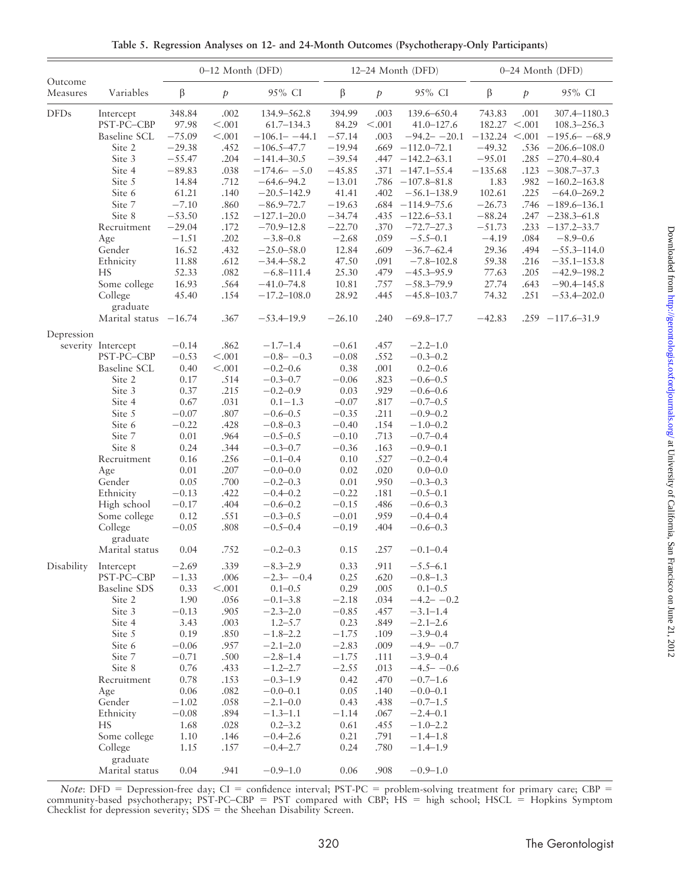| 95% CI<br>β<br>Variables<br>β<br>$\beta$<br>95% CI<br>95% CI<br>Measures<br>$\dot{p}$<br>$\boldsymbol{p}$<br>$\mathcal{P}$<br><b>DFDs</b><br>.002<br>743.83<br>348.84<br>134.9-562.8<br>394.99<br>.003<br>139.6-650.4<br>.001<br>307.4-1180.3<br>Intercept<br>PST-PC-CBP<br>97.98<br>< .001<br>< .001<br>182.27 < 0.001<br>$61.7 - 134.3$<br>84.29<br>$41.0 - 127.6$<br>$108.3 - 256.3$<br>Baseline SCL<br>$-75.09$<br>< .001<br>$-132.24$ <.001<br>$-106.1 - -44.1$<br>$-57.14$<br>.003<br>$-94.2 - -20.1$<br>Site 2<br>$-29.38$<br>.452<br>$-106.5 - 47.7$<br>$-19.94$<br>$-112.0 - 72.1$<br>$-49.32$<br>$.536 -206.6 -108.0$<br>.669<br>Site 3<br>$-55.47$<br>.204<br>$-141.4 - 30.5$<br>$-39.54$<br>$.447 - 142.2 - 63.1$<br>$-95.01$<br>$.285 -270.4 -80.4$<br>Site 4<br>$-89.83$<br>.038<br>$-45.85$<br>$-147.1 - 55.4$<br>$-135.68$<br>.123<br>$-308.7 - 37.3$<br>$-174.6 - -5.0$<br>.371<br>Site 5<br>14.84<br>.712<br>$-64.6 - 94.2$<br>$-13.01$<br>.786<br>$-107.8 - 81.8$<br>.982<br>1.83<br>$-160.2 - 163.8$<br>61.21<br>Site 6<br>.140<br>$-20.5 - 142.9$<br>41.41<br>.402<br>$-56.1 - 138.9$<br>102.61<br>.225<br>$-64.0 - 269.2$<br>Site 7<br>$-7.10$<br>$-19.63$<br>.684<br>$-26.73$<br>$-189.6 - 136.1$<br>.860<br>$-86.9 - 72.7$<br>$-114.9 - 75.6$<br>.746<br>$-53.50$<br>Site 8<br>$-88.24$<br>.152<br>$-127.1 - 20.0$<br>$-34.74$<br>.435<br>$-122.6 - 53.1$<br>.247<br>$-238.3 - 61.8$<br>$-29.04$<br>Recruitment<br>.172<br>$-70.9 - 12.8$<br>$-22.70$<br>.370<br>$-72.7-27.3$<br>$-51.73$<br>.233<br>$-137.2 - 33.7$<br>$-1.51$<br>.202<br>$-3.8 - 0.8$<br>$-2.68$<br>$-5.5-0.1$<br>$-4.19$<br>.084<br>$-8.9 - 0.6$<br>Age<br>.059<br>Gender<br>16.52<br>$-25.0 - 58.0$<br>12.84<br>$-36.7 - 62.4$<br>29.36<br>.494<br>$-55.3 - 114.0$<br>.432<br>.609<br>Ethnicity<br>47.50<br>59.38<br>11.88<br>.612<br>$-34.4 - 58.2$<br>.091<br>$-7.8 - 102.8$<br>.216<br>$-35.1 - 153.8$<br>52.33<br>.082<br>25.30<br>.205<br><b>HS</b><br>$-6.8 - 111.4$<br>.479<br>$-45.3 - 95.9$<br>77.63<br>$-42.9 - 198.2$<br>16.93<br>Some college<br>$-41.0 - 74.8$<br>10.81<br>27.74<br>.564<br>.757<br>$-58.3 - 79.9$<br>.643<br>$-90.4 - 145.8$<br>45.40<br>.154<br>28.92<br>74.32<br>.251<br>College<br>$-17.2 - 108.0$<br>.445<br>$-45.8 - 103.7$<br>$-53.4-202.0$<br>graduate<br>Marital status $-16.74$<br>.240<br>.367<br>$-53.4-19.9$<br>$-26.10$<br>$-69.8 - 17.7$<br>$-42.83$<br>$.259 -117.6 -31.9$<br>Depression<br>.862<br>severity Intercept<br>$-0.14$<br>$-1.7 - 1.4$<br>$-0.61$<br>.457<br>$-2.2 - 1.0$<br>PST-PC-CBP<br>$-0.53$<br>< .001<br>$-0.8 - -0.3$<br>$-0.08$<br>$-0.3 - 0.2$<br>.552<br>Baseline SCL<br>0.40<br>< .001<br>$0.2 - 0.6$<br>$-0.2 - 0.6$<br>0.38<br>.001<br>Site 2<br>0.17<br>.514<br>$-0.6 - 0.5$<br>$-0.3 - 0.7$<br>$-0.06$<br>.823<br>Site 3<br>0.37<br>.215<br>$-0.2 - 0.9$<br>0.03<br>.929<br>$-0.6 - 0.6$<br>0.67<br>Site 4<br>.031<br>$0.1 - 1.3$<br>$-0.7 - 0.5$<br>$-0.07$<br>.817<br>.807<br>Site 5<br>$-0.07$<br>$-0.6 - 0.5$<br>$-0.35$<br>$-0.9 - 0.2$<br>.211<br>$-0.22$<br>.428<br>$-0.40$<br>$-1.0 - 0.2$<br>Site 6<br>$-0.8 - 0.3$<br>.154<br>Site 7<br>0.01<br>.964<br>$-0.10$<br>$-0.7 - 0.4$<br>$-0.5 - 0.5$<br>.713<br>Site 8<br>0.24<br>.344<br>$-0.9 - 0.1$<br>$-0.3 - 0.7$<br>$-0.36$<br>.163<br>Recruitment<br>$0.16\,$<br>.256<br>$-0.2 - 0.4$<br>$-0.1 - 0.4$<br>0.10<br>.527<br>0.01<br>.207<br>0.02<br>$0.0 - 0.0$<br>Age<br>$-0.0 - 0.0$<br>.020<br>Gender<br>0.05<br>.700<br>$-0.2 - 0.3$<br>0.01<br>.950<br>$-0.3 - 0.3$<br>Ethnicity<br>$-0.13$<br>.422<br>$-0.22$<br>$-0.5 - 0.1$<br>$-0.4 - 0.2$<br>.181<br>$-0.17$<br>.404<br>$-0.15$<br>High school<br>$-0.6 - 0.2$<br>.486<br>$-0.6 - 0.3$<br>Some college<br>0.12<br>.551<br>$-0.3 - 0.5$<br>$-0.01$<br>.959<br>$-0.4 - 0.4$<br>$-0.05$<br>$-0.19$<br>$-0.6 - 0.3$<br>College<br>.808<br>$-0.5 - 0.4$<br>.404<br>graduate<br>Marital status<br>0.04<br>.752<br>$-0.2 - 0.3$<br>0.15<br>.257<br>$-0.1 - 0.4$<br>.339<br>$-8.3 - 2.9$<br>$-2.69$<br>0.33<br>.911<br>$-5.5-6.1$<br>Disability Intercept<br>PST-PC-CBP<br>$-2.3 - -0.4$<br>0.25<br>$-0.8 - 1.3$<br>$-1.33$<br>.006<br>.620<br>< .001<br>$0.1 - 0.5$<br>0.29<br>$0.1 - 0.5$<br>Baseline SDS<br>0.33<br>.005<br>Site 2<br>1.90<br>.056<br>$-0.1 - 3.8$<br>$-2.18$<br>.034<br>$-4.2 - -0.2$<br>Site 3<br>$-0.85$<br>$-0.13$<br>.905<br>$-2.3 - 2.0$<br>$-3.1 - 1.4$<br>.457<br>Site 4<br>3.43<br>.003<br>$1.2 - 5.7$<br>0.23<br>$-2.1 - 2.6$<br>.849<br>.850<br>Site 5<br>0.19<br>$-1.8 - 2.2$<br>$-1.75$<br>$-3.9 - 0.4$<br>.109<br>$-4.9 - -0.7$<br>Site 6<br>$-0.06$<br>.957<br>$-2.1 - 2.0$<br>$-2.83$<br>.009<br>$-1.75$<br>Site 7<br>$-0.71$<br>.500<br>$-2.8 - 1.4$<br>$-3.9 - 0.4$<br>.111<br>Site 8<br>0.76<br>$-2.55$<br>$-4.5-$ -0.6<br>.433<br>$-1.2 - 2.7$<br>.013<br>Recruitment<br>0.78<br>.153<br>$-0.3-1.9$<br>0.42<br>$-0.7-1.6$<br>.470<br>.082<br>0.05<br>$-0.0 - 0.1$<br>Age<br>0.06<br>$-0.0 - 0.1$<br>.140<br>Gender<br>$-1.02$<br>.058<br>$-2.1 - 0.0$<br>0.43<br>$-0.7-1.5$<br>.438<br>Ethnicity<br>$-0.08$<br>.894<br>$-1.3 - 1.1$<br>$-1.14$<br>$-2.4 - 0.1$<br>.067<br><b>HS</b><br>0.61<br>$-1.0 - 2.2$<br>1.68<br>.028<br>$0.2 - 3.2$<br>.455<br>Some college<br>0.21<br>1.10<br>.146<br>$-0.4 - 2.6$<br>.791<br>$-1.4 - 1.8$<br>College<br>1.15<br>.157<br>$-0.4 - 2.7$<br>0.24<br>.780<br>$-1.4-1.9$<br>graduate<br>Marital status<br>0.04<br>.941<br>$-0.9 - 1.0$<br>0.06<br>.908<br>$-0.9 - 1.0$ |         | $0-12$ Month (DFD) |  |  | 12-24 Month (DFD) | $0-24$ Month (DFD) |  |  |                  |
|---------------------------------------------------------------------------------------------------------------------------------------------------------------------------------------------------------------------------------------------------------------------------------------------------------------------------------------------------------------------------------------------------------------------------------------------------------------------------------------------------------------------------------------------------------------------------------------------------------------------------------------------------------------------------------------------------------------------------------------------------------------------------------------------------------------------------------------------------------------------------------------------------------------------------------------------------------------------------------------------------------------------------------------------------------------------------------------------------------------------------------------------------------------------------------------------------------------------------------------------------------------------------------------------------------------------------------------------------------------------------------------------------------------------------------------------------------------------------------------------------------------------------------------------------------------------------------------------------------------------------------------------------------------------------------------------------------------------------------------------------------------------------------------------------------------------------------------------------------------------------------------------------------------------------------------------------------------------------------------------------------------------------------------------------------------------------------------------------------------------------------------------------------------------------------------------------------------------------------------------------------------------------------------------------------------------------------------------------------------------------------------------------------------------------------------------------------------------------------------------------------------------------------------------------------------------------------------------------------------------------------------------------------------------------------------------------------------------------------------------------------------------------------------------------------------------------------------------------------------------------------------------------------------------------------------------------------------------------------------------------------------------------------------------------------------------------------------------------------------------------------------------------------------------------------------------------------------------------------------------------------------------------------------------------------------------------------------------------------------------------------------------------------------------------------------------------------------------------------------------------------------------------------------------------------------------------------------------------------------------------------------------------------------------------------------------------------------------------------------------------------------------------------------------------------------------------------------------------------------------------------------------------------------------------------------------------------------------------------------------------------------------------------------------------------------------------------------------------------------------------------------------------------------------------------------------------------------------------------------------------------------------------------------------------------------------------------------------------------------------------------------------------------------------------------------------------------------------------------------------------------------------------------------------------------------------------------------------------------------------------------------------------------------------------------------------------------------------------------------------------------------------------------------------------------------------------------------------------------------------------------------------------------------------------------------------------------------------------------------------------------------------------------------------------------------------------------------------------------------------------------------------------------------------------------------------------------------------------------------------------------------------------------------------------------------------------------------------------------------------------------------------------------------------------------|---------|--------------------|--|--|-------------------|--------------------|--|--|------------------|
|                                                                                                                                                                                                                                                                                                                                                                                                                                                                                                                                                                                                                                                                                                                                                                                                                                                                                                                                                                                                                                                                                                                                                                                                                                                                                                                                                                                                                                                                                                                                                                                                                                                                                                                                                                                                                                                                                                                                                                                                                                                                                                                                                                                                                                                                                                                                                                                                                                                                                                                                                                                                                                                                                                                                                                                                                                                                                                                                                                                                                                                                                                                                                                                                                                                                                                                                                                                                                                                                                                                                                                                                                                                                                                                                                                                                                                                                                                                                                                                                                                                                                                                                                                                                                                                                                                                                                                                                                                                                                                                                                                                                                                                                                                                                                                                                                                                                                                                                                                                                                                                                                                                                                                                                                                                                                                                                                                                                                                 | Outcome |                    |  |  |                   |                    |  |  |                  |
|                                                                                                                                                                                                                                                                                                                                                                                                                                                                                                                                                                                                                                                                                                                                                                                                                                                                                                                                                                                                                                                                                                                                                                                                                                                                                                                                                                                                                                                                                                                                                                                                                                                                                                                                                                                                                                                                                                                                                                                                                                                                                                                                                                                                                                                                                                                                                                                                                                                                                                                                                                                                                                                                                                                                                                                                                                                                                                                                                                                                                                                                                                                                                                                                                                                                                                                                                                                                                                                                                                                                                                                                                                                                                                                                                                                                                                                                                                                                                                                                                                                                                                                                                                                                                                                                                                                                                                                                                                                                                                                                                                                                                                                                                                                                                                                                                                                                                                                                                                                                                                                                                                                                                                                                                                                                                                                                                                                                                                 |         |                    |  |  |                   |                    |  |  |                  |
|                                                                                                                                                                                                                                                                                                                                                                                                                                                                                                                                                                                                                                                                                                                                                                                                                                                                                                                                                                                                                                                                                                                                                                                                                                                                                                                                                                                                                                                                                                                                                                                                                                                                                                                                                                                                                                                                                                                                                                                                                                                                                                                                                                                                                                                                                                                                                                                                                                                                                                                                                                                                                                                                                                                                                                                                                                                                                                                                                                                                                                                                                                                                                                                                                                                                                                                                                                                                                                                                                                                                                                                                                                                                                                                                                                                                                                                                                                                                                                                                                                                                                                                                                                                                                                                                                                                                                                                                                                                                                                                                                                                                                                                                                                                                                                                                                                                                                                                                                                                                                                                                                                                                                                                                                                                                                                                                                                                                                                 |         |                    |  |  |                   |                    |  |  |                  |
|                                                                                                                                                                                                                                                                                                                                                                                                                                                                                                                                                                                                                                                                                                                                                                                                                                                                                                                                                                                                                                                                                                                                                                                                                                                                                                                                                                                                                                                                                                                                                                                                                                                                                                                                                                                                                                                                                                                                                                                                                                                                                                                                                                                                                                                                                                                                                                                                                                                                                                                                                                                                                                                                                                                                                                                                                                                                                                                                                                                                                                                                                                                                                                                                                                                                                                                                                                                                                                                                                                                                                                                                                                                                                                                                                                                                                                                                                                                                                                                                                                                                                                                                                                                                                                                                                                                                                                                                                                                                                                                                                                                                                                                                                                                                                                                                                                                                                                                                                                                                                                                                                                                                                                                                                                                                                                                                                                                                                                 |         |                    |  |  |                   |                    |  |  | $-195.6 - -68.9$ |
|                                                                                                                                                                                                                                                                                                                                                                                                                                                                                                                                                                                                                                                                                                                                                                                                                                                                                                                                                                                                                                                                                                                                                                                                                                                                                                                                                                                                                                                                                                                                                                                                                                                                                                                                                                                                                                                                                                                                                                                                                                                                                                                                                                                                                                                                                                                                                                                                                                                                                                                                                                                                                                                                                                                                                                                                                                                                                                                                                                                                                                                                                                                                                                                                                                                                                                                                                                                                                                                                                                                                                                                                                                                                                                                                                                                                                                                                                                                                                                                                                                                                                                                                                                                                                                                                                                                                                                                                                                                                                                                                                                                                                                                                                                                                                                                                                                                                                                                                                                                                                                                                                                                                                                                                                                                                                                                                                                                                                                 |         |                    |  |  |                   |                    |  |  |                  |
|                                                                                                                                                                                                                                                                                                                                                                                                                                                                                                                                                                                                                                                                                                                                                                                                                                                                                                                                                                                                                                                                                                                                                                                                                                                                                                                                                                                                                                                                                                                                                                                                                                                                                                                                                                                                                                                                                                                                                                                                                                                                                                                                                                                                                                                                                                                                                                                                                                                                                                                                                                                                                                                                                                                                                                                                                                                                                                                                                                                                                                                                                                                                                                                                                                                                                                                                                                                                                                                                                                                                                                                                                                                                                                                                                                                                                                                                                                                                                                                                                                                                                                                                                                                                                                                                                                                                                                                                                                                                                                                                                                                                                                                                                                                                                                                                                                                                                                                                                                                                                                                                                                                                                                                                                                                                                                                                                                                                                                 |         |                    |  |  |                   |                    |  |  |                  |
|                                                                                                                                                                                                                                                                                                                                                                                                                                                                                                                                                                                                                                                                                                                                                                                                                                                                                                                                                                                                                                                                                                                                                                                                                                                                                                                                                                                                                                                                                                                                                                                                                                                                                                                                                                                                                                                                                                                                                                                                                                                                                                                                                                                                                                                                                                                                                                                                                                                                                                                                                                                                                                                                                                                                                                                                                                                                                                                                                                                                                                                                                                                                                                                                                                                                                                                                                                                                                                                                                                                                                                                                                                                                                                                                                                                                                                                                                                                                                                                                                                                                                                                                                                                                                                                                                                                                                                                                                                                                                                                                                                                                                                                                                                                                                                                                                                                                                                                                                                                                                                                                                                                                                                                                                                                                                                                                                                                                                                 |         |                    |  |  |                   |                    |  |  |                  |
|                                                                                                                                                                                                                                                                                                                                                                                                                                                                                                                                                                                                                                                                                                                                                                                                                                                                                                                                                                                                                                                                                                                                                                                                                                                                                                                                                                                                                                                                                                                                                                                                                                                                                                                                                                                                                                                                                                                                                                                                                                                                                                                                                                                                                                                                                                                                                                                                                                                                                                                                                                                                                                                                                                                                                                                                                                                                                                                                                                                                                                                                                                                                                                                                                                                                                                                                                                                                                                                                                                                                                                                                                                                                                                                                                                                                                                                                                                                                                                                                                                                                                                                                                                                                                                                                                                                                                                                                                                                                                                                                                                                                                                                                                                                                                                                                                                                                                                                                                                                                                                                                                                                                                                                                                                                                                                                                                                                                                                 |         |                    |  |  |                   |                    |  |  |                  |
|                                                                                                                                                                                                                                                                                                                                                                                                                                                                                                                                                                                                                                                                                                                                                                                                                                                                                                                                                                                                                                                                                                                                                                                                                                                                                                                                                                                                                                                                                                                                                                                                                                                                                                                                                                                                                                                                                                                                                                                                                                                                                                                                                                                                                                                                                                                                                                                                                                                                                                                                                                                                                                                                                                                                                                                                                                                                                                                                                                                                                                                                                                                                                                                                                                                                                                                                                                                                                                                                                                                                                                                                                                                                                                                                                                                                                                                                                                                                                                                                                                                                                                                                                                                                                                                                                                                                                                                                                                                                                                                                                                                                                                                                                                                                                                                                                                                                                                                                                                                                                                                                                                                                                                                                                                                                                                                                                                                                                                 |         |                    |  |  |                   |                    |  |  |                  |
|                                                                                                                                                                                                                                                                                                                                                                                                                                                                                                                                                                                                                                                                                                                                                                                                                                                                                                                                                                                                                                                                                                                                                                                                                                                                                                                                                                                                                                                                                                                                                                                                                                                                                                                                                                                                                                                                                                                                                                                                                                                                                                                                                                                                                                                                                                                                                                                                                                                                                                                                                                                                                                                                                                                                                                                                                                                                                                                                                                                                                                                                                                                                                                                                                                                                                                                                                                                                                                                                                                                                                                                                                                                                                                                                                                                                                                                                                                                                                                                                                                                                                                                                                                                                                                                                                                                                                                                                                                                                                                                                                                                                                                                                                                                                                                                                                                                                                                                                                                                                                                                                                                                                                                                                                                                                                                                                                                                                                                 |         |                    |  |  |                   |                    |  |  |                  |
|                                                                                                                                                                                                                                                                                                                                                                                                                                                                                                                                                                                                                                                                                                                                                                                                                                                                                                                                                                                                                                                                                                                                                                                                                                                                                                                                                                                                                                                                                                                                                                                                                                                                                                                                                                                                                                                                                                                                                                                                                                                                                                                                                                                                                                                                                                                                                                                                                                                                                                                                                                                                                                                                                                                                                                                                                                                                                                                                                                                                                                                                                                                                                                                                                                                                                                                                                                                                                                                                                                                                                                                                                                                                                                                                                                                                                                                                                                                                                                                                                                                                                                                                                                                                                                                                                                                                                                                                                                                                                                                                                                                                                                                                                                                                                                                                                                                                                                                                                                                                                                                                                                                                                                                                                                                                                                                                                                                                                                 |         |                    |  |  |                   |                    |  |  |                  |
|                                                                                                                                                                                                                                                                                                                                                                                                                                                                                                                                                                                                                                                                                                                                                                                                                                                                                                                                                                                                                                                                                                                                                                                                                                                                                                                                                                                                                                                                                                                                                                                                                                                                                                                                                                                                                                                                                                                                                                                                                                                                                                                                                                                                                                                                                                                                                                                                                                                                                                                                                                                                                                                                                                                                                                                                                                                                                                                                                                                                                                                                                                                                                                                                                                                                                                                                                                                                                                                                                                                                                                                                                                                                                                                                                                                                                                                                                                                                                                                                                                                                                                                                                                                                                                                                                                                                                                                                                                                                                                                                                                                                                                                                                                                                                                                                                                                                                                                                                                                                                                                                                                                                                                                                                                                                                                                                                                                                                                 |         |                    |  |  |                   |                    |  |  |                  |
|                                                                                                                                                                                                                                                                                                                                                                                                                                                                                                                                                                                                                                                                                                                                                                                                                                                                                                                                                                                                                                                                                                                                                                                                                                                                                                                                                                                                                                                                                                                                                                                                                                                                                                                                                                                                                                                                                                                                                                                                                                                                                                                                                                                                                                                                                                                                                                                                                                                                                                                                                                                                                                                                                                                                                                                                                                                                                                                                                                                                                                                                                                                                                                                                                                                                                                                                                                                                                                                                                                                                                                                                                                                                                                                                                                                                                                                                                                                                                                                                                                                                                                                                                                                                                                                                                                                                                                                                                                                                                                                                                                                                                                                                                                                                                                                                                                                                                                                                                                                                                                                                                                                                                                                                                                                                                                                                                                                                                                 |         |                    |  |  |                   |                    |  |  |                  |
|                                                                                                                                                                                                                                                                                                                                                                                                                                                                                                                                                                                                                                                                                                                                                                                                                                                                                                                                                                                                                                                                                                                                                                                                                                                                                                                                                                                                                                                                                                                                                                                                                                                                                                                                                                                                                                                                                                                                                                                                                                                                                                                                                                                                                                                                                                                                                                                                                                                                                                                                                                                                                                                                                                                                                                                                                                                                                                                                                                                                                                                                                                                                                                                                                                                                                                                                                                                                                                                                                                                                                                                                                                                                                                                                                                                                                                                                                                                                                                                                                                                                                                                                                                                                                                                                                                                                                                                                                                                                                                                                                                                                                                                                                                                                                                                                                                                                                                                                                                                                                                                                                                                                                                                                                                                                                                                                                                                                                                 |         |                    |  |  |                   |                    |  |  |                  |
|                                                                                                                                                                                                                                                                                                                                                                                                                                                                                                                                                                                                                                                                                                                                                                                                                                                                                                                                                                                                                                                                                                                                                                                                                                                                                                                                                                                                                                                                                                                                                                                                                                                                                                                                                                                                                                                                                                                                                                                                                                                                                                                                                                                                                                                                                                                                                                                                                                                                                                                                                                                                                                                                                                                                                                                                                                                                                                                                                                                                                                                                                                                                                                                                                                                                                                                                                                                                                                                                                                                                                                                                                                                                                                                                                                                                                                                                                                                                                                                                                                                                                                                                                                                                                                                                                                                                                                                                                                                                                                                                                                                                                                                                                                                                                                                                                                                                                                                                                                                                                                                                                                                                                                                                                                                                                                                                                                                                                                 |         |                    |  |  |                   |                    |  |  |                  |
|                                                                                                                                                                                                                                                                                                                                                                                                                                                                                                                                                                                                                                                                                                                                                                                                                                                                                                                                                                                                                                                                                                                                                                                                                                                                                                                                                                                                                                                                                                                                                                                                                                                                                                                                                                                                                                                                                                                                                                                                                                                                                                                                                                                                                                                                                                                                                                                                                                                                                                                                                                                                                                                                                                                                                                                                                                                                                                                                                                                                                                                                                                                                                                                                                                                                                                                                                                                                                                                                                                                                                                                                                                                                                                                                                                                                                                                                                                                                                                                                                                                                                                                                                                                                                                                                                                                                                                                                                                                                                                                                                                                                                                                                                                                                                                                                                                                                                                                                                                                                                                                                                                                                                                                                                                                                                                                                                                                                                                 |         |                    |  |  |                   |                    |  |  |                  |
|                                                                                                                                                                                                                                                                                                                                                                                                                                                                                                                                                                                                                                                                                                                                                                                                                                                                                                                                                                                                                                                                                                                                                                                                                                                                                                                                                                                                                                                                                                                                                                                                                                                                                                                                                                                                                                                                                                                                                                                                                                                                                                                                                                                                                                                                                                                                                                                                                                                                                                                                                                                                                                                                                                                                                                                                                                                                                                                                                                                                                                                                                                                                                                                                                                                                                                                                                                                                                                                                                                                                                                                                                                                                                                                                                                                                                                                                                                                                                                                                                                                                                                                                                                                                                                                                                                                                                                                                                                                                                                                                                                                                                                                                                                                                                                                                                                                                                                                                                                                                                                                                                                                                                                                                                                                                                                                                                                                                                                 |         |                    |  |  |                   |                    |  |  |                  |
|                                                                                                                                                                                                                                                                                                                                                                                                                                                                                                                                                                                                                                                                                                                                                                                                                                                                                                                                                                                                                                                                                                                                                                                                                                                                                                                                                                                                                                                                                                                                                                                                                                                                                                                                                                                                                                                                                                                                                                                                                                                                                                                                                                                                                                                                                                                                                                                                                                                                                                                                                                                                                                                                                                                                                                                                                                                                                                                                                                                                                                                                                                                                                                                                                                                                                                                                                                                                                                                                                                                                                                                                                                                                                                                                                                                                                                                                                                                                                                                                                                                                                                                                                                                                                                                                                                                                                                                                                                                                                                                                                                                                                                                                                                                                                                                                                                                                                                                                                                                                                                                                                                                                                                                                                                                                                                                                                                                                                                 |         |                    |  |  |                   |                    |  |  |                  |
|                                                                                                                                                                                                                                                                                                                                                                                                                                                                                                                                                                                                                                                                                                                                                                                                                                                                                                                                                                                                                                                                                                                                                                                                                                                                                                                                                                                                                                                                                                                                                                                                                                                                                                                                                                                                                                                                                                                                                                                                                                                                                                                                                                                                                                                                                                                                                                                                                                                                                                                                                                                                                                                                                                                                                                                                                                                                                                                                                                                                                                                                                                                                                                                                                                                                                                                                                                                                                                                                                                                                                                                                                                                                                                                                                                                                                                                                                                                                                                                                                                                                                                                                                                                                                                                                                                                                                                                                                                                                                                                                                                                                                                                                                                                                                                                                                                                                                                                                                                                                                                                                                                                                                                                                                                                                                                                                                                                                                                 |         |                    |  |  |                   |                    |  |  |                  |
|                                                                                                                                                                                                                                                                                                                                                                                                                                                                                                                                                                                                                                                                                                                                                                                                                                                                                                                                                                                                                                                                                                                                                                                                                                                                                                                                                                                                                                                                                                                                                                                                                                                                                                                                                                                                                                                                                                                                                                                                                                                                                                                                                                                                                                                                                                                                                                                                                                                                                                                                                                                                                                                                                                                                                                                                                                                                                                                                                                                                                                                                                                                                                                                                                                                                                                                                                                                                                                                                                                                                                                                                                                                                                                                                                                                                                                                                                                                                                                                                                                                                                                                                                                                                                                                                                                                                                                                                                                                                                                                                                                                                                                                                                                                                                                                                                                                                                                                                                                                                                                                                                                                                                                                                                                                                                                                                                                                                                                 |         |                    |  |  |                   |                    |  |  |                  |
|                                                                                                                                                                                                                                                                                                                                                                                                                                                                                                                                                                                                                                                                                                                                                                                                                                                                                                                                                                                                                                                                                                                                                                                                                                                                                                                                                                                                                                                                                                                                                                                                                                                                                                                                                                                                                                                                                                                                                                                                                                                                                                                                                                                                                                                                                                                                                                                                                                                                                                                                                                                                                                                                                                                                                                                                                                                                                                                                                                                                                                                                                                                                                                                                                                                                                                                                                                                                                                                                                                                                                                                                                                                                                                                                                                                                                                                                                                                                                                                                                                                                                                                                                                                                                                                                                                                                                                                                                                                                                                                                                                                                                                                                                                                                                                                                                                                                                                                                                                                                                                                                                                                                                                                                                                                                                                                                                                                                                                 |         |                    |  |  |                   |                    |  |  |                  |
|                                                                                                                                                                                                                                                                                                                                                                                                                                                                                                                                                                                                                                                                                                                                                                                                                                                                                                                                                                                                                                                                                                                                                                                                                                                                                                                                                                                                                                                                                                                                                                                                                                                                                                                                                                                                                                                                                                                                                                                                                                                                                                                                                                                                                                                                                                                                                                                                                                                                                                                                                                                                                                                                                                                                                                                                                                                                                                                                                                                                                                                                                                                                                                                                                                                                                                                                                                                                                                                                                                                                                                                                                                                                                                                                                                                                                                                                                                                                                                                                                                                                                                                                                                                                                                                                                                                                                                                                                                                                                                                                                                                                                                                                                                                                                                                                                                                                                                                                                                                                                                                                                                                                                                                                                                                                                                                                                                                                                                 |         |                    |  |  |                   |                    |  |  |                  |
|                                                                                                                                                                                                                                                                                                                                                                                                                                                                                                                                                                                                                                                                                                                                                                                                                                                                                                                                                                                                                                                                                                                                                                                                                                                                                                                                                                                                                                                                                                                                                                                                                                                                                                                                                                                                                                                                                                                                                                                                                                                                                                                                                                                                                                                                                                                                                                                                                                                                                                                                                                                                                                                                                                                                                                                                                                                                                                                                                                                                                                                                                                                                                                                                                                                                                                                                                                                                                                                                                                                                                                                                                                                                                                                                                                                                                                                                                                                                                                                                                                                                                                                                                                                                                                                                                                                                                                                                                                                                                                                                                                                                                                                                                                                                                                                                                                                                                                                                                                                                                                                                                                                                                                                                                                                                                                                                                                                                                                 |         |                    |  |  |                   |                    |  |  |                  |
|                                                                                                                                                                                                                                                                                                                                                                                                                                                                                                                                                                                                                                                                                                                                                                                                                                                                                                                                                                                                                                                                                                                                                                                                                                                                                                                                                                                                                                                                                                                                                                                                                                                                                                                                                                                                                                                                                                                                                                                                                                                                                                                                                                                                                                                                                                                                                                                                                                                                                                                                                                                                                                                                                                                                                                                                                                                                                                                                                                                                                                                                                                                                                                                                                                                                                                                                                                                                                                                                                                                                                                                                                                                                                                                                                                                                                                                                                                                                                                                                                                                                                                                                                                                                                                                                                                                                                                                                                                                                                                                                                                                                                                                                                                                                                                                                                                                                                                                                                                                                                                                                                                                                                                                                                                                                                                                                                                                                                                 |         |                    |  |  |                   |                    |  |  |                  |
|                                                                                                                                                                                                                                                                                                                                                                                                                                                                                                                                                                                                                                                                                                                                                                                                                                                                                                                                                                                                                                                                                                                                                                                                                                                                                                                                                                                                                                                                                                                                                                                                                                                                                                                                                                                                                                                                                                                                                                                                                                                                                                                                                                                                                                                                                                                                                                                                                                                                                                                                                                                                                                                                                                                                                                                                                                                                                                                                                                                                                                                                                                                                                                                                                                                                                                                                                                                                                                                                                                                                                                                                                                                                                                                                                                                                                                                                                                                                                                                                                                                                                                                                                                                                                                                                                                                                                                                                                                                                                                                                                                                                                                                                                                                                                                                                                                                                                                                                                                                                                                                                                                                                                                                                                                                                                                                                                                                                                                 |         |                    |  |  |                   |                    |  |  |                  |
|                                                                                                                                                                                                                                                                                                                                                                                                                                                                                                                                                                                                                                                                                                                                                                                                                                                                                                                                                                                                                                                                                                                                                                                                                                                                                                                                                                                                                                                                                                                                                                                                                                                                                                                                                                                                                                                                                                                                                                                                                                                                                                                                                                                                                                                                                                                                                                                                                                                                                                                                                                                                                                                                                                                                                                                                                                                                                                                                                                                                                                                                                                                                                                                                                                                                                                                                                                                                                                                                                                                                                                                                                                                                                                                                                                                                                                                                                                                                                                                                                                                                                                                                                                                                                                                                                                                                                                                                                                                                                                                                                                                                                                                                                                                                                                                                                                                                                                                                                                                                                                                                                                                                                                                                                                                                                                                                                                                                                                 |         |                    |  |  |                   |                    |  |  |                  |
|                                                                                                                                                                                                                                                                                                                                                                                                                                                                                                                                                                                                                                                                                                                                                                                                                                                                                                                                                                                                                                                                                                                                                                                                                                                                                                                                                                                                                                                                                                                                                                                                                                                                                                                                                                                                                                                                                                                                                                                                                                                                                                                                                                                                                                                                                                                                                                                                                                                                                                                                                                                                                                                                                                                                                                                                                                                                                                                                                                                                                                                                                                                                                                                                                                                                                                                                                                                                                                                                                                                                                                                                                                                                                                                                                                                                                                                                                                                                                                                                                                                                                                                                                                                                                                                                                                                                                                                                                                                                                                                                                                                                                                                                                                                                                                                                                                                                                                                                                                                                                                                                                                                                                                                                                                                                                                                                                                                                                                 |         |                    |  |  |                   |                    |  |  |                  |
|                                                                                                                                                                                                                                                                                                                                                                                                                                                                                                                                                                                                                                                                                                                                                                                                                                                                                                                                                                                                                                                                                                                                                                                                                                                                                                                                                                                                                                                                                                                                                                                                                                                                                                                                                                                                                                                                                                                                                                                                                                                                                                                                                                                                                                                                                                                                                                                                                                                                                                                                                                                                                                                                                                                                                                                                                                                                                                                                                                                                                                                                                                                                                                                                                                                                                                                                                                                                                                                                                                                                                                                                                                                                                                                                                                                                                                                                                                                                                                                                                                                                                                                                                                                                                                                                                                                                                                                                                                                                                                                                                                                                                                                                                                                                                                                                                                                                                                                                                                                                                                                                                                                                                                                                                                                                                                                                                                                                                                 |         |                    |  |  |                   |                    |  |  |                  |
|                                                                                                                                                                                                                                                                                                                                                                                                                                                                                                                                                                                                                                                                                                                                                                                                                                                                                                                                                                                                                                                                                                                                                                                                                                                                                                                                                                                                                                                                                                                                                                                                                                                                                                                                                                                                                                                                                                                                                                                                                                                                                                                                                                                                                                                                                                                                                                                                                                                                                                                                                                                                                                                                                                                                                                                                                                                                                                                                                                                                                                                                                                                                                                                                                                                                                                                                                                                                                                                                                                                                                                                                                                                                                                                                                                                                                                                                                                                                                                                                                                                                                                                                                                                                                                                                                                                                                                                                                                                                                                                                                                                                                                                                                                                                                                                                                                                                                                                                                                                                                                                                                                                                                                                                                                                                                                                                                                                                                                 |         |                    |  |  |                   |                    |  |  |                  |
|                                                                                                                                                                                                                                                                                                                                                                                                                                                                                                                                                                                                                                                                                                                                                                                                                                                                                                                                                                                                                                                                                                                                                                                                                                                                                                                                                                                                                                                                                                                                                                                                                                                                                                                                                                                                                                                                                                                                                                                                                                                                                                                                                                                                                                                                                                                                                                                                                                                                                                                                                                                                                                                                                                                                                                                                                                                                                                                                                                                                                                                                                                                                                                                                                                                                                                                                                                                                                                                                                                                                                                                                                                                                                                                                                                                                                                                                                                                                                                                                                                                                                                                                                                                                                                                                                                                                                                                                                                                                                                                                                                                                                                                                                                                                                                                                                                                                                                                                                                                                                                                                                                                                                                                                                                                                                                                                                                                                                                 |         |                    |  |  |                   |                    |  |  |                  |
|                                                                                                                                                                                                                                                                                                                                                                                                                                                                                                                                                                                                                                                                                                                                                                                                                                                                                                                                                                                                                                                                                                                                                                                                                                                                                                                                                                                                                                                                                                                                                                                                                                                                                                                                                                                                                                                                                                                                                                                                                                                                                                                                                                                                                                                                                                                                                                                                                                                                                                                                                                                                                                                                                                                                                                                                                                                                                                                                                                                                                                                                                                                                                                                                                                                                                                                                                                                                                                                                                                                                                                                                                                                                                                                                                                                                                                                                                                                                                                                                                                                                                                                                                                                                                                                                                                                                                                                                                                                                                                                                                                                                                                                                                                                                                                                                                                                                                                                                                                                                                                                                                                                                                                                                                                                                                                                                                                                                                                 |         |                    |  |  |                   |                    |  |  |                  |
|                                                                                                                                                                                                                                                                                                                                                                                                                                                                                                                                                                                                                                                                                                                                                                                                                                                                                                                                                                                                                                                                                                                                                                                                                                                                                                                                                                                                                                                                                                                                                                                                                                                                                                                                                                                                                                                                                                                                                                                                                                                                                                                                                                                                                                                                                                                                                                                                                                                                                                                                                                                                                                                                                                                                                                                                                                                                                                                                                                                                                                                                                                                                                                                                                                                                                                                                                                                                                                                                                                                                                                                                                                                                                                                                                                                                                                                                                                                                                                                                                                                                                                                                                                                                                                                                                                                                                                                                                                                                                                                                                                                                                                                                                                                                                                                                                                                                                                                                                                                                                                                                                                                                                                                                                                                                                                                                                                                                                                 |         |                    |  |  |                   |                    |  |  |                  |
|                                                                                                                                                                                                                                                                                                                                                                                                                                                                                                                                                                                                                                                                                                                                                                                                                                                                                                                                                                                                                                                                                                                                                                                                                                                                                                                                                                                                                                                                                                                                                                                                                                                                                                                                                                                                                                                                                                                                                                                                                                                                                                                                                                                                                                                                                                                                                                                                                                                                                                                                                                                                                                                                                                                                                                                                                                                                                                                                                                                                                                                                                                                                                                                                                                                                                                                                                                                                                                                                                                                                                                                                                                                                                                                                                                                                                                                                                                                                                                                                                                                                                                                                                                                                                                                                                                                                                                                                                                                                                                                                                                                                                                                                                                                                                                                                                                                                                                                                                                                                                                                                                                                                                                                                                                                                                                                                                                                                                                 |         |                    |  |  |                   |                    |  |  |                  |
|                                                                                                                                                                                                                                                                                                                                                                                                                                                                                                                                                                                                                                                                                                                                                                                                                                                                                                                                                                                                                                                                                                                                                                                                                                                                                                                                                                                                                                                                                                                                                                                                                                                                                                                                                                                                                                                                                                                                                                                                                                                                                                                                                                                                                                                                                                                                                                                                                                                                                                                                                                                                                                                                                                                                                                                                                                                                                                                                                                                                                                                                                                                                                                                                                                                                                                                                                                                                                                                                                                                                                                                                                                                                                                                                                                                                                                                                                                                                                                                                                                                                                                                                                                                                                                                                                                                                                                                                                                                                                                                                                                                                                                                                                                                                                                                                                                                                                                                                                                                                                                                                                                                                                                                                                                                                                                                                                                                                                                 |         |                    |  |  |                   |                    |  |  |                  |
|                                                                                                                                                                                                                                                                                                                                                                                                                                                                                                                                                                                                                                                                                                                                                                                                                                                                                                                                                                                                                                                                                                                                                                                                                                                                                                                                                                                                                                                                                                                                                                                                                                                                                                                                                                                                                                                                                                                                                                                                                                                                                                                                                                                                                                                                                                                                                                                                                                                                                                                                                                                                                                                                                                                                                                                                                                                                                                                                                                                                                                                                                                                                                                                                                                                                                                                                                                                                                                                                                                                                                                                                                                                                                                                                                                                                                                                                                                                                                                                                                                                                                                                                                                                                                                                                                                                                                                                                                                                                                                                                                                                                                                                                                                                                                                                                                                                                                                                                                                                                                                                                                                                                                                                                                                                                                                                                                                                                                                 |         |                    |  |  |                   |                    |  |  |                  |
|                                                                                                                                                                                                                                                                                                                                                                                                                                                                                                                                                                                                                                                                                                                                                                                                                                                                                                                                                                                                                                                                                                                                                                                                                                                                                                                                                                                                                                                                                                                                                                                                                                                                                                                                                                                                                                                                                                                                                                                                                                                                                                                                                                                                                                                                                                                                                                                                                                                                                                                                                                                                                                                                                                                                                                                                                                                                                                                                                                                                                                                                                                                                                                                                                                                                                                                                                                                                                                                                                                                                                                                                                                                                                                                                                                                                                                                                                                                                                                                                                                                                                                                                                                                                                                                                                                                                                                                                                                                                                                                                                                                                                                                                                                                                                                                                                                                                                                                                                                                                                                                                                                                                                                                                                                                                                                                                                                                                                                 |         |                    |  |  |                   |                    |  |  |                  |
|                                                                                                                                                                                                                                                                                                                                                                                                                                                                                                                                                                                                                                                                                                                                                                                                                                                                                                                                                                                                                                                                                                                                                                                                                                                                                                                                                                                                                                                                                                                                                                                                                                                                                                                                                                                                                                                                                                                                                                                                                                                                                                                                                                                                                                                                                                                                                                                                                                                                                                                                                                                                                                                                                                                                                                                                                                                                                                                                                                                                                                                                                                                                                                                                                                                                                                                                                                                                                                                                                                                                                                                                                                                                                                                                                                                                                                                                                                                                                                                                                                                                                                                                                                                                                                                                                                                                                                                                                                                                                                                                                                                                                                                                                                                                                                                                                                                                                                                                                                                                                                                                                                                                                                                                                                                                                                                                                                                                                                 |         |                    |  |  |                   |                    |  |  |                  |
|                                                                                                                                                                                                                                                                                                                                                                                                                                                                                                                                                                                                                                                                                                                                                                                                                                                                                                                                                                                                                                                                                                                                                                                                                                                                                                                                                                                                                                                                                                                                                                                                                                                                                                                                                                                                                                                                                                                                                                                                                                                                                                                                                                                                                                                                                                                                                                                                                                                                                                                                                                                                                                                                                                                                                                                                                                                                                                                                                                                                                                                                                                                                                                                                                                                                                                                                                                                                                                                                                                                                                                                                                                                                                                                                                                                                                                                                                                                                                                                                                                                                                                                                                                                                                                                                                                                                                                                                                                                                                                                                                                                                                                                                                                                                                                                                                                                                                                                                                                                                                                                                                                                                                                                                                                                                                                                                                                                                                                 |         |                    |  |  |                   |                    |  |  |                  |
|                                                                                                                                                                                                                                                                                                                                                                                                                                                                                                                                                                                                                                                                                                                                                                                                                                                                                                                                                                                                                                                                                                                                                                                                                                                                                                                                                                                                                                                                                                                                                                                                                                                                                                                                                                                                                                                                                                                                                                                                                                                                                                                                                                                                                                                                                                                                                                                                                                                                                                                                                                                                                                                                                                                                                                                                                                                                                                                                                                                                                                                                                                                                                                                                                                                                                                                                                                                                                                                                                                                                                                                                                                                                                                                                                                                                                                                                                                                                                                                                                                                                                                                                                                                                                                                                                                                                                                                                                                                                                                                                                                                                                                                                                                                                                                                                                                                                                                                                                                                                                                                                                                                                                                                                                                                                                                                                                                                                                                 |         |                    |  |  |                   |                    |  |  |                  |
|                                                                                                                                                                                                                                                                                                                                                                                                                                                                                                                                                                                                                                                                                                                                                                                                                                                                                                                                                                                                                                                                                                                                                                                                                                                                                                                                                                                                                                                                                                                                                                                                                                                                                                                                                                                                                                                                                                                                                                                                                                                                                                                                                                                                                                                                                                                                                                                                                                                                                                                                                                                                                                                                                                                                                                                                                                                                                                                                                                                                                                                                                                                                                                                                                                                                                                                                                                                                                                                                                                                                                                                                                                                                                                                                                                                                                                                                                                                                                                                                                                                                                                                                                                                                                                                                                                                                                                                                                                                                                                                                                                                                                                                                                                                                                                                                                                                                                                                                                                                                                                                                                                                                                                                                                                                                                                                                                                                                                                 |         |                    |  |  |                   |                    |  |  |                  |
|                                                                                                                                                                                                                                                                                                                                                                                                                                                                                                                                                                                                                                                                                                                                                                                                                                                                                                                                                                                                                                                                                                                                                                                                                                                                                                                                                                                                                                                                                                                                                                                                                                                                                                                                                                                                                                                                                                                                                                                                                                                                                                                                                                                                                                                                                                                                                                                                                                                                                                                                                                                                                                                                                                                                                                                                                                                                                                                                                                                                                                                                                                                                                                                                                                                                                                                                                                                                                                                                                                                                                                                                                                                                                                                                                                                                                                                                                                                                                                                                                                                                                                                                                                                                                                                                                                                                                                                                                                                                                                                                                                                                                                                                                                                                                                                                                                                                                                                                                                                                                                                                                                                                                                                                                                                                                                                                                                                                                                 |         |                    |  |  |                   |                    |  |  |                  |
|                                                                                                                                                                                                                                                                                                                                                                                                                                                                                                                                                                                                                                                                                                                                                                                                                                                                                                                                                                                                                                                                                                                                                                                                                                                                                                                                                                                                                                                                                                                                                                                                                                                                                                                                                                                                                                                                                                                                                                                                                                                                                                                                                                                                                                                                                                                                                                                                                                                                                                                                                                                                                                                                                                                                                                                                                                                                                                                                                                                                                                                                                                                                                                                                                                                                                                                                                                                                                                                                                                                                                                                                                                                                                                                                                                                                                                                                                                                                                                                                                                                                                                                                                                                                                                                                                                                                                                                                                                                                                                                                                                                                                                                                                                                                                                                                                                                                                                                                                                                                                                                                                                                                                                                                                                                                                                                                                                                                                                 |         |                    |  |  |                   |                    |  |  |                  |
|                                                                                                                                                                                                                                                                                                                                                                                                                                                                                                                                                                                                                                                                                                                                                                                                                                                                                                                                                                                                                                                                                                                                                                                                                                                                                                                                                                                                                                                                                                                                                                                                                                                                                                                                                                                                                                                                                                                                                                                                                                                                                                                                                                                                                                                                                                                                                                                                                                                                                                                                                                                                                                                                                                                                                                                                                                                                                                                                                                                                                                                                                                                                                                                                                                                                                                                                                                                                                                                                                                                                                                                                                                                                                                                                                                                                                                                                                                                                                                                                                                                                                                                                                                                                                                                                                                                                                                                                                                                                                                                                                                                                                                                                                                                                                                                                                                                                                                                                                                                                                                                                                                                                                                                                                                                                                                                                                                                                                                 |         |                    |  |  |                   |                    |  |  |                  |
|                                                                                                                                                                                                                                                                                                                                                                                                                                                                                                                                                                                                                                                                                                                                                                                                                                                                                                                                                                                                                                                                                                                                                                                                                                                                                                                                                                                                                                                                                                                                                                                                                                                                                                                                                                                                                                                                                                                                                                                                                                                                                                                                                                                                                                                                                                                                                                                                                                                                                                                                                                                                                                                                                                                                                                                                                                                                                                                                                                                                                                                                                                                                                                                                                                                                                                                                                                                                                                                                                                                                                                                                                                                                                                                                                                                                                                                                                                                                                                                                                                                                                                                                                                                                                                                                                                                                                                                                                                                                                                                                                                                                                                                                                                                                                                                                                                                                                                                                                                                                                                                                                                                                                                                                                                                                                                                                                                                                                                 |         |                    |  |  |                   |                    |  |  |                  |
|                                                                                                                                                                                                                                                                                                                                                                                                                                                                                                                                                                                                                                                                                                                                                                                                                                                                                                                                                                                                                                                                                                                                                                                                                                                                                                                                                                                                                                                                                                                                                                                                                                                                                                                                                                                                                                                                                                                                                                                                                                                                                                                                                                                                                                                                                                                                                                                                                                                                                                                                                                                                                                                                                                                                                                                                                                                                                                                                                                                                                                                                                                                                                                                                                                                                                                                                                                                                                                                                                                                                                                                                                                                                                                                                                                                                                                                                                                                                                                                                                                                                                                                                                                                                                                                                                                                                                                                                                                                                                                                                                                                                                                                                                                                                                                                                                                                                                                                                                                                                                                                                                                                                                                                                                                                                                                                                                                                                                                 |         |                    |  |  |                   |                    |  |  |                  |
|                                                                                                                                                                                                                                                                                                                                                                                                                                                                                                                                                                                                                                                                                                                                                                                                                                                                                                                                                                                                                                                                                                                                                                                                                                                                                                                                                                                                                                                                                                                                                                                                                                                                                                                                                                                                                                                                                                                                                                                                                                                                                                                                                                                                                                                                                                                                                                                                                                                                                                                                                                                                                                                                                                                                                                                                                                                                                                                                                                                                                                                                                                                                                                                                                                                                                                                                                                                                                                                                                                                                                                                                                                                                                                                                                                                                                                                                                                                                                                                                                                                                                                                                                                                                                                                                                                                                                                                                                                                                                                                                                                                                                                                                                                                                                                                                                                                                                                                                                                                                                                                                                                                                                                                                                                                                                                                                                                                                                                 |         |                    |  |  |                   |                    |  |  |                  |
|                                                                                                                                                                                                                                                                                                                                                                                                                                                                                                                                                                                                                                                                                                                                                                                                                                                                                                                                                                                                                                                                                                                                                                                                                                                                                                                                                                                                                                                                                                                                                                                                                                                                                                                                                                                                                                                                                                                                                                                                                                                                                                                                                                                                                                                                                                                                                                                                                                                                                                                                                                                                                                                                                                                                                                                                                                                                                                                                                                                                                                                                                                                                                                                                                                                                                                                                                                                                                                                                                                                                                                                                                                                                                                                                                                                                                                                                                                                                                                                                                                                                                                                                                                                                                                                                                                                                                                                                                                                                                                                                                                                                                                                                                                                                                                                                                                                                                                                                                                                                                                                                                                                                                                                                                                                                                                                                                                                                                                 |         |                    |  |  |                   |                    |  |  |                  |
|                                                                                                                                                                                                                                                                                                                                                                                                                                                                                                                                                                                                                                                                                                                                                                                                                                                                                                                                                                                                                                                                                                                                                                                                                                                                                                                                                                                                                                                                                                                                                                                                                                                                                                                                                                                                                                                                                                                                                                                                                                                                                                                                                                                                                                                                                                                                                                                                                                                                                                                                                                                                                                                                                                                                                                                                                                                                                                                                                                                                                                                                                                                                                                                                                                                                                                                                                                                                                                                                                                                                                                                                                                                                                                                                                                                                                                                                                                                                                                                                                                                                                                                                                                                                                                                                                                                                                                                                                                                                                                                                                                                                                                                                                                                                                                                                                                                                                                                                                                                                                                                                                                                                                                                                                                                                                                                                                                                                                                 |         |                    |  |  |                   |                    |  |  |                  |
|                                                                                                                                                                                                                                                                                                                                                                                                                                                                                                                                                                                                                                                                                                                                                                                                                                                                                                                                                                                                                                                                                                                                                                                                                                                                                                                                                                                                                                                                                                                                                                                                                                                                                                                                                                                                                                                                                                                                                                                                                                                                                                                                                                                                                                                                                                                                                                                                                                                                                                                                                                                                                                                                                                                                                                                                                                                                                                                                                                                                                                                                                                                                                                                                                                                                                                                                                                                                                                                                                                                                                                                                                                                                                                                                                                                                                                                                                                                                                                                                                                                                                                                                                                                                                                                                                                                                                                                                                                                                                                                                                                                                                                                                                                                                                                                                                                                                                                                                                                                                                                                                                                                                                                                                                                                                                                                                                                                                                                 |         |                    |  |  |                   |                    |  |  |                  |
|                                                                                                                                                                                                                                                                                                                                                                                                                                                                                                                                                                                                                                                                                                                                                                                                                                                                                                                                                                                                                                                                                                                                                                                                                                                                                                                                                                                                                                                                                                                                                                                                                                                                                                                                                                                                                                                                                                                                                                                                                                                                                                                                                                                                                                                                                                                                                                                                                                                                                                                                                                                                                                                                                                                                                                                                                                                                                                                                                                                                                                                                                                                                                                                                                                                                                                                                                                                                                                                                                                                                                                                                                                                                                                                                                                                                                                                                                                                                                                                                                                                                                                                                                                                                                                                                                                                                                                                                                                                                                                                                                                                                                                                                                                                                                                                                                                                                                                                                                                                                                                                                                                                                                                                                                                                                                                                                                                                                                                 |         |                    |  |  |                   |                    |  |  |                  |
|                                                                                                                                                                                                                                                                                                                                                                                                                                                                                                                                                                                                                                                                                                                                                                                                                                                                                                                                                                                                                                                                                                                                                                                                                                                                                                                                                                                                                                                                                                                                                                                                                                                                                                                                                                                                                                                                                                                                                                                                                                                                                                                                                                                                                                                                                                                                                                                                                                                                                                                                                                                                                                                                                                                                                                                                                                                                                                                                                                                                                                                                                                                                                                                                                                                                                                                                                                                                                                                                                                                                                                                                                                                                                                                                                                                                                                                                                                                                                                                                                                                                                                                                                                                                                                                                                                                                                                                                                                                                                                                                                                                                                                                                                                                                                                                                                                                                                                                                                                                                                                                                                                                                                                                                                                                                                                                                                                                                                                 |         |                    |  |  |                   |                    |  |  |                  |
|                                                                                                                                                                                                                                                                                                                                                                                                                                                                                                                                                                                                                                                                                                                                                                                                                                                                                                                                                                                                                                                                                                                                                                                                                                                                                                                                                                                                                                                                                                                                                                                                                                                                                                                                                                                                                                                                                                                                                                                                                                                                                                                                                                                                                                                                                                                                                                                                                                                                                                                                                                                                                                                                                                                                                                                                                                                                                                                                                                                                                                                                                                                                                                                                                                                                                                                                                                                                                                                                                                                                                                                                                                                                                                                                                                                                                                                                                                                                                                                                                                                                                                                                                                                                                                                                                                                                                                                                                                                                                                                                                                                                                                                                                                                                                                                                                                                                                                                                                                                                                                                                                                                                                                                                                                                                                                                                                                                                                                 |         |                    |  |  |                   |                    |  |  |                  |
|                                                                                                                                                                                                                                                                                                                                                                                                                                                                                                                                                                                                                                                                                                                                                                                                                                                                                                                                                                                                                                                                                                                                                                                                                                                                                                                                                                                                                                                                                                                                                                                                                                                                                                                                                                                                                                                                                                                                                                                                                                                                                                                                                                                                                                                                                                                                                                                                                                                                                                                                                                                                                                                                                                                                                                                                                                                                                                                                                                                                                                                                                                                                                                                                                                                                                                                                                                                                                                                                                                                                                                                                                                                                                                                                                                                                                                                                                                                                                                                                                                                                                                                                                                                                                                                                                                                                                                                                                                                                                                                                                                                                                                                                                                                                                                                                                                                                                                                                                                                                                                                                                                                                                                                                                                                                                                                                                                                                                                 |         |                    |  |  |                   |                    |  |  |                  |
|                                                                                                                                                                                                                                                                                                                                                                                                                                                                                                                                                                                                                                                                                                                                                                                                                                                                                                                                                                                                                                                                                                                                                                                                                                                                                                                                                                                                                                                                                                                                                                                                                                                                                                                                                                                                                                                                                                                                                                                                                                                                                                                                                                                                                                                                                                                                                                                                                                                                                                                                                                                                                                                                                                                                                                                                                                                                                                                                                                                                                                                                                                                                                                                                                                                                                                                                                                                                                                                                                                                                                                                                                                                                                                                                                                                                                                                                                                                                                                                                                                                                                                                                                                                                                                                                                                                                                                                                                                                                                                                                                                                                                                                                                                                                                                                                                                                                                                                                                                                                                                                                                                                                                                                                                                                                                                                                                                                                                                 |         |                    |  |  |                   |                    |  |  |                  |
|                                                                                                                                                                                                                                                                                                                                                                                                                                                                                                                                                                                                                                                                                                                                                                                                                                                                                                                                                                                                                                                                                                                                                                                                                                                                                                                                                                                                                                                                                                                                                                                                                                                                                                                                                                                                                                                                                                                                                                                                                                                                                                                                                                                                                                                                                                                                                                                                                                                                                                                                                                                                                                                                                                                                                                                                                                                                                                                                                                                                                                                                                                                                                                                                                                                                                                                                                                                                                                                                                                                                                                                                                                                                                                                                                                                                                                                                                                                                                                                                                                                                                                                                                                                                                                                                                                                                                                                                                                                                                                                                                                                                                                                                                                                                                                                                                                                                                                                                                                                                                                                                                                                                                                                                                                                                                                                                                                                                                                 |         |                    |  |  |                   |                    |  |  |                  |

Table 5. Regression Analyses on 12- and 24-Month Outcomes (Psychotherapy-Only Participants)

Note: DFD = Depression-free day;  $CI =$  confidence interval;  $PST-PC =$  problem-solving treatment for primary care;  $CBP =$ community-based psychotherapy; PST-PC–CBP = PST compared with CBP; HS = high school; HSCL = Hopkins Symptom Checklist for depression severity;  $SDS =$  the Sheehan Disability Screen.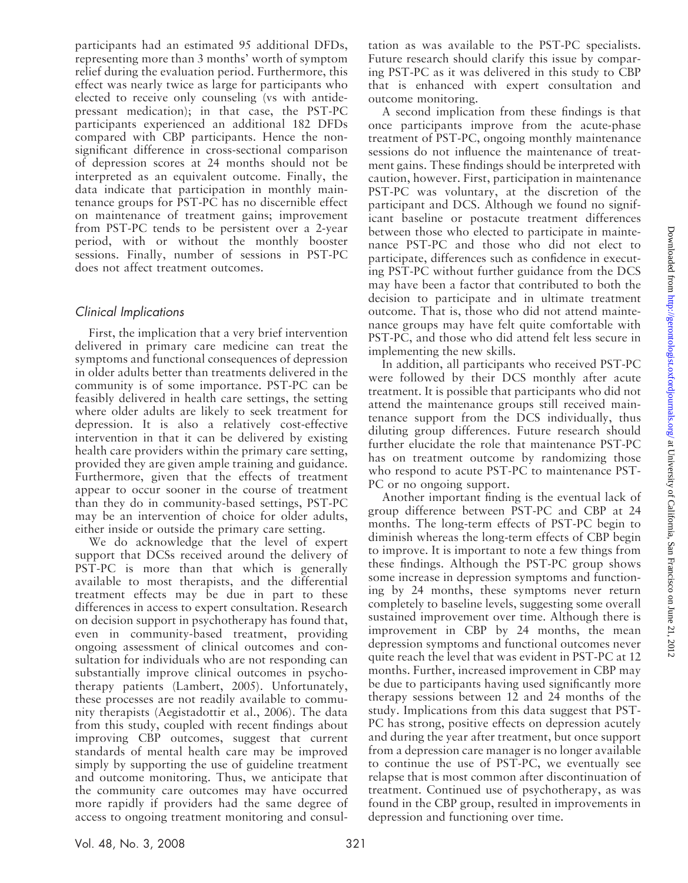participants had an estimated 95 additional DFDs, representing more than 3 months' worth of symptom relief during the evaluation period. Furthermore, this effect was nearly twice as large for participants who elected to receive only counseling (vs with antidepressant medication); in that case, the PST-PC participants experienced an additional 182 DFDs compared with CBP participants. Hence the nonsignificant difference in cross-sectional comparison of depression scores at 24 months should not be interpreted as an equivalent outcome. Finally, the data indicate that participation in monthly maintenance groups for PST-PC has no discernible effect on maintenance of treatment gains; improvement from PST-PC tends to be persistent over a 2-year period, with or without the monthly booster sessions. Finally, number of sessions in PST-PC does not affect treatment outcomes.

#### Clinical Implications

First, the implication that a very brief intervention delivered in primary care medicine can treat the symptoms and functional consequences of depression in older adults better than treatments delivered in the community is of some importance. PST-PC can be feasibly delivered in health care settings, the setting where older adults are likely to seek treatment for depression. It is also a relatively cost-effective intervention in that it can be delivered by existing health care providers within the primary care setting, provided they are given ample training and guidance. Furthermore, given that the effects of treatment appear to occur sooner in the course of treatment than they do in community-based settings, PST-PC may be an intervention of choice for older adults, either inside or outside the primary care setting.

We do acknowledge that the level of expert support that DCSs received around the delivery of PST-PC is more than that which is generally available to most therapists, and the differential treatment effects may be due in part to these differences in access to expert consultation. Research on decision support in psychotherapy has found that, even in community-based treatment, providing ongoing assessment of clinical outcomes and consultation for individuals who are not responding can substantially improve clinical outcomes in psychotherapy patients (Lambert, 2005). Unfortunately, these processes are not readily available to community therapists (Aegistadottir et al., 2006). The data from this study, coupled with recent findings about improving CBP outcomes, suggest that current standards of mental health care may be improved simply by supporting the use of guideline treatment and outcome monitoring. Thus, we anticipate that the community care outcomes may have occurred more rapidly if providers had the same degree of access to ongoing treatment monitoring and consultation as was available to the PST-PC specialists. Future research should clarify this issue by comparing PST-PC as it was delivered in this study to CBP that is enhanced with expert consultation and outcome monitoring.

A second implication from these findings is that once participants improve from the acute-phase treatment of PST-PC, ongoing monthly maintenance sessions do not influence the maintenance of treatment gains. These findings should be interpreted with caution, however. First, participation in maintenance PST-PC was voluntary, at the discretion of the participant and DCS. Although we found no significant baseline or postacute treatment differences between those who elected to participate in maintenance PST-PC and those who did not elect to participate, differences such as confidence in executing PST-PC without further guidance from the DCS may have been a factor that contributed to both the decision to participate and in ultimate treatment outcome. That is, those who did not attend maintenance groups may have felt quite comfortable with PST-PC, and those who did attend felt less secure in implementing the new skills.

In addition, all participants who received PST-PC were followed by their DCS monthly after acute treatment. It is possible that participants who did not attend the maintenance groups still received maintenance support from the DCS individually, thus diluting group differences. Future research should further elucidate the role that maintenance PST-PC has on treatment outcome by randomizing those who respond to acute PST-PC to maintenance PST-PC or no ongoing support.

Another important finding is the eventual lack of group difference between PST-PC and CBP at 24 months. The long-term effects of PST-PC begin to diminish whereas the long-term effects of CBP begin to improve. It is important to note a few things from these findings. Although the PST-PC group shows some increase in depression symptoms and functioning by 24 months, these symptoms never return completely to baseline levels, suggesting some overall sustained improvement over time. Although there is improvement in CBP by 24 months, the mean depression symptoms and functional outcomes never quite reach the level that was evident in PST-PC at 12 months. Further, increased improvement in CBP may be due to participants having used significantly more therapy sessions between 12 and 24 months of the study. Implications from this data suggest that PST-PC has strong, positive effects on depression acutely and during the year after treatment, but once support from a depression care manager is no longer available to continue the use of PST-PC, we eventually see relapse that is most common after discontinuation of treatment. Continued use of psychotherapy, as was found in the CBP group, resulted in improvements in depression and functioning over time.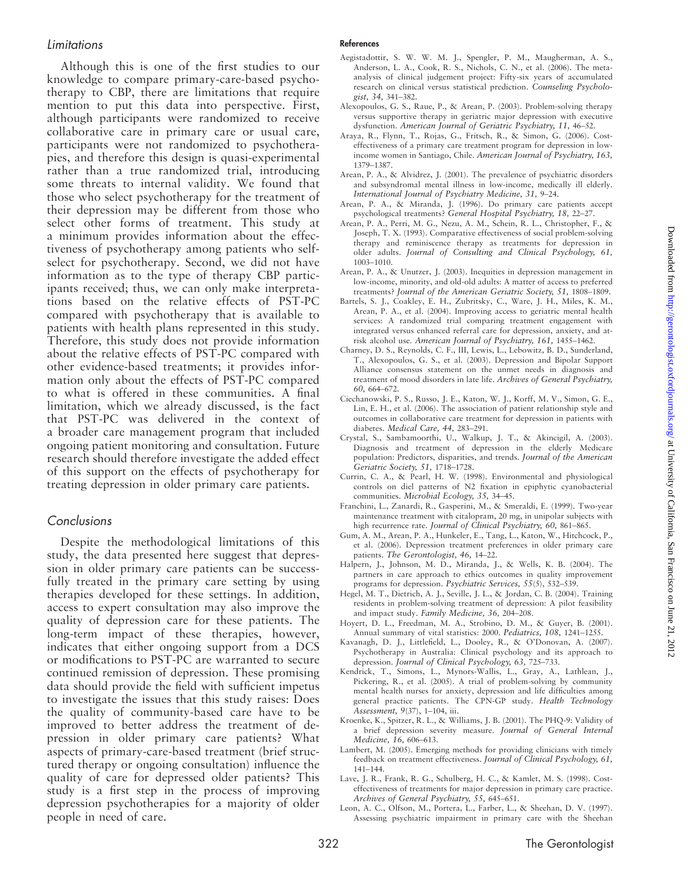Although this is one of the first studies to our knowledge to compare primary-care-based psychotherapy to CBP, there are limitations that require mention to put this data into perspective. First, although participants were randomized to receive collaborative care in primary care or usual care, participants were not randomized to psychotherapies, and therefore this design is quasi-experimental rather than a true randomized trial, introducing some threats to internal validity. We found that those who select psychotherapy for the treatment of their depression may be different from those who select other forms of treatment. This study at a minimum provides information about the effectiveness of psychotherapy among patients who selfselect for psychotherapy. Second, we did not have information as to the type of therapy CBP participants received; thus, we can only make interpretations based on the relative effects of PST-PC compared with psychotherapy that is available to patients with health plans represented in this study. Therefore, this study does not provide information about the relative effects of PST-PC compared with other evidence-based treatments; it provides information only about the effects of PST-PC compared to what is offered in these communities. A final limitation, which we already discussed, is the fact that PST-PC was delivered in the context of a broader care management program that included ongoing patient monitoring and consultation. Future research should therefore investigate the added effect of this support on the effects of psychotherapy for treating depression in older primary care patients.

# Conclusions

Despite the methodological limitations of this study, the data presented here suggest that depression in older primary care patients can be successfully treated in the primary care setting by using therapies developed for these settings. In addition, access to expert consultation may also improve the quality of depression care for these patients. The long-term impact of these therapies, however, indicates that either ongoing support from a DCS or modifications to PST-PC are warranted to secure continued remission of depression. These promising data should provide the field with sufficient impetus to investigate the issues that this study raises: Does the quality of community-based care have to be improved to better address the treatment of depression in older primary care patients? What aspects of primary-care-based treatment (brief structured therapy or ongoing consultation) influence the quality of care for depressed older patients? This study is a first step in the process of improving depression psychotherapies for a majority of older people in need of care.

#### References

- Aegistadottir, S. W. W. M. J., Spengler, P. M., Maugherman, A. S., Anderson, L. A., Cook, R. S., Nichols, C. N., et al. (2006). The metaanalysis of clinical judgement project: Fifty-six years of accumulated research on clinical versus statistical prediction. Counseling Psychologist, 34, 341–382.
- Alexopoulos, G. S., Raue, P., & Arean, P. (2003). Problem-solving therapy versus supportive therapy in geriatric major depression with executive dysfunction. American Journal of Geriatric Psychiatry, 11, 46–52.
- Araya, R., Flynn, T., Rojas, G., Fritsch, R., & Simon, G. (2006). Costeffectiveness of a primary care treatment program for depression in lowincome women in Santiago, Chile. American Journal of Psychiatry, 163, 1379–1387.
- Arean, P. A., & Alvidrez, J. (2001). The prevalence of psychiatric disorders and subsyndromal mental illness in low-income, medically ill elderly. International Journal of Psychiatry Medicine, 31, 9–24.
- Arean, P. A., & Miranda, J. (1996). Do primary care patients accept psychological treatments? General Hospital Psychiatry, 18, 22–27.
- Arean, P. A., Perri, M. G., Nezu, A. M., Schein, R. L., Christopher, F., & Joseph, T. X. (1993). Comparative effectiveness of social problem-solving therapy and reminiscence therapy as treatments for depression in older adults. Journal of Consulting and Clinical Psychology, 61, 1003–1010.
- Arean, P. A., & Unutzer, J. (2003). Inequities in depression management in low-income, minority, and old-old adults: A matter of access to preferred treatments? Journal of the American Geriatric Society, 51, 1808–1809.
- Bartels, S. J., Coakley, E. H., Zubritsky, C., Ware, J. H., Miles, K. M., Arean, P. A., et al. (2004). Improving access to geriatric mental health services: A randomized trial comparing treatment engagement with integrated versus enhanced referral care for depression, anxiety, and atrisk alcohol use. American Journal of Psychiatry, 161, 1455–1462.
- Charney, D. S., Reynolds, C. F., III, Lewis, L., Lebowitz, B. D., Sunderland, T., Alexopoulos, G. S., et al. (2003). Depression and Bipolar Support Alliance consensus statement on the unmet needs in diagnosis and treatment of mood disorders in late life. Archives of General Psychiatry, 60, 664–672.
- Ciechanowski, P. S., Russo, J. E., Katon, W. J., Korff, M. V., Simon, G. E., Lin, E. H., et al. (2006). The association of patient relationship style and outcomes in collaborative care treatment for depression in patients with diabetes. Medical Care, 44, 283–291.
- Crystal, S., Sambamoorthi, U., Walkup, J. T., & Akincigil, A. (2003). Diagnosis and treatment of depression in the elderly Medicare population: Predictors, disparities, and trends. Journal of the American Geriatric Society, 51, 1718–1728.
- Currin, C. A., & Pearl, H. W. (1998). Environmental and physiological controls on diel patterns of N2 fixation in epiphytic cyanobacterial communities. Microbial Ecology, 35, 34–45.
- Franchini, L., Zanardi, R., Gasperini, M., & Smeraldi, E. (1999). Two-year maintenance treatment with citalopram, 20 mg, in unipolar subjects with high recurrence rate. Journal of Clinical Psychiatry, 60, 861–865.
- Gum, A. M., Arean, P. A., Hunkeler, E., Tang, L., Katon, W., Hitchcock, P., et al. (2006). Depression treatment preferences in older primary care patients. The Gerontologist, 46, 14–22.
- Halpern, J., Johnson, M. D., Miranda, J., & Wells, K. B. (2004). The partners in care approach to ethics outcomes in quality improvement programs for depression. Psychiatric Services, 55(5), 532–539.
- Hegel, M. T., Dietrich, A. J., Seville, J. L., & Jordan, C. B. (2004). Training residents in problem-solving treatment of depression: A pilot feasibility and impact study. Family Medicine, 36, 204–208.
- Hoyert, D. L., Freedman, M. A., Strobino, D. M., & Guyer, B. (2001). Annual summary of vital statistics: 2000. Pediatrics, 108, 1241–1255.
- Kavanagh, D. J., Littlefield, L., Dooley, R., & O'Donovan, A. (2007). Psychotherapy in Australia: Clinical psychology and its approach to depression. Journal of Clinical Psychology, 63, 725–733.
- Kendrick, T., Simons, L., Mynors-Wallis, L., Gray, A., Lathlean, J., Pickering, R., et al. (2005). A trial of problem-solving by community mental health nurses for anxiety, depression and life difficulties among general practice patients. The CPN-GP study. Health Technology Assessment, 9(37), 1–104, iii.
- Kroenke, K., Spitzer, R. L., & Williams, J. B. (2001). The PHQ-9: Validity of a brief depression severity measure. Journal of General Internal Medicine, 16, 606–613.
- Lambert, M. (2005). Emerging methods for providing clinicians with timely feedback on treatment effectiveness. Journal of Clinical Psychology, 61, 141–144.
- Lave, J. R., Frank, R. G., Schulberg, H. C., & Kamlet, M. S. (1998). Costeffectiveness of treatments for major depression in primary care practice. Archives of General Psychiatry, 55, 645–651.
- Leon, A. C., Olfson, M., Portera, L., Farber, L., & Sheehan, D. V. (1997). Assessing psychiatric impairment in primary care with the Sheehan